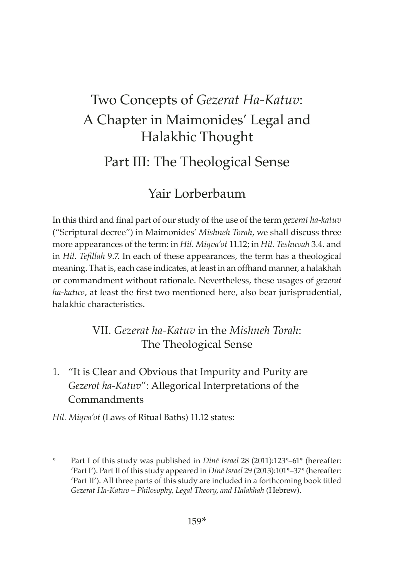# Two Concepts of *Gezerat Ha-Katuv*: A Chapter in Maimonides' Legal and Halakhic Thought

## Part III: The Theological Sense

## Yair Lorberbaum

In this third and final part of our study of the use of the term *gezerat ha-katuv*  ("Scriptural decree") in Maimonides' *Mishneh Torah*, we shall discuss three more appearances of the term: in *Hil. Miqva'ot* 11.12; in *Hil. Teshuvah* 3.4. and in *Hil. Tefillah* 9.7. In each of these appearances, the term has a theological meaning. That is, each case indicates, at least in an offhand manner, a halakhah or commandment without rationale. Nevertheless, these usages of *gezerat ha-katuv*, at least the first two mentioned here, also bear jurisprudential, halakhic characteristics.

> VII. *Gezerat ha-Katuv* in the *Mishneh Torah*: The Theological Sense

1. "It is Clear and Obvious that Impurity and Purity are *Gezerot ha-Katuv*": Allegorical Interpretations of the Commandments

*Hil. Miqva'ot* (Laws of Ritual Baths) 11.12 states:

Part I of this study was published in *Diné Israel* 28 (2011):123<sup>\*</sup>–61<sup>\*</sup> (hereafter: 'Part I'). Part II of this study appeared in *Diné Israel* 29 (2013):101\*–37\* (hereafter: 'Part II'). All three parts of this study are included in a forthcoming book titled *Gezerat Ha-Katuv – Philosophy, Legal Theory, and Halakhah* (Hebrew).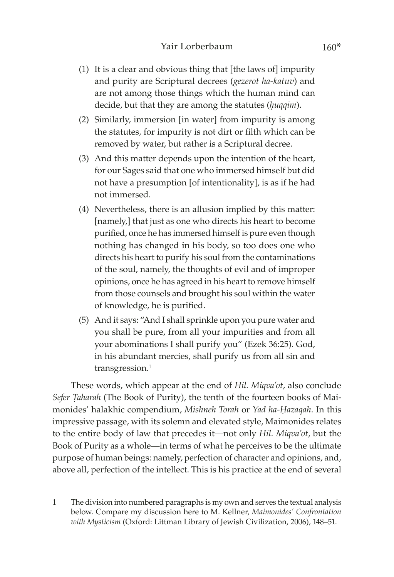- (1) It is a clear and obvious thing that [the laws of] impurity and purity are Scriptural decrees (*gezerot ha-katuv*) and are not among those things which the human mind can decide, but that they are among the statutes (*huqqim*).
- (2) Similarly, immersion [in water] from impurity is among the statutes*,* for impurity is not dirt or filth which can be removed by water, but rather is a Scriptural decree.
- (3) And this matter depends upon the intention of the heart, for our Sages said that one who immersed himself but did not have a presumption [of intentionality], is as if he had not immersed.
- (4) Nevertheless, there is an allusion implied by this matter: [namely,] that just as one who directs his heart to become purified, once he has immersed himself is pure even though nothing has changed in his body, so too does one who directs his heart to purify his soul from the contaminations of the soul, namely, the thoughts of evil and of improper opinions, once he has agreed in his heart to remove himself from those counsels and brought his soul within the water of knowledge, he is purified.
- (5) And it says: "And I shall sprinkle upon you pure water and you shall be pure, from all your impurities and from all your abominations I shall purify you" (Ezek 36:25). God, in his abundant mercies, shall purify us from all sin and transgression.<sup>1</sup>

These words, which appear at the end of *Hil. Miqva'ot*, also conclude *Sefer Taharah (The Book of Purity), the tenth of the fourteen books of Mai*monides' halakhic compendium, *Mishneh Torah* or *Yad ha-Êazaqah*. In this impressive passage, with its solemn and elevated style, Maimonides relates to the entire body of law that precedes it—not only *Hil. Miqva'ot*, but the Book of Purity as a whole—in terms of what he perceives to be the ultimate purpose of human beings: namely, perfection of character and opinions, and, above all, perfection of the intellect. This is his practice at the end of several

1 The division into numbered paragraphs is my own and serves the textual analysis below. Compare my discussion here to M. Kellner, *Maimonides' Confrontation with Mysticism* (Oxford: Littman Library of Jewish Civilization, 2006), 148–51.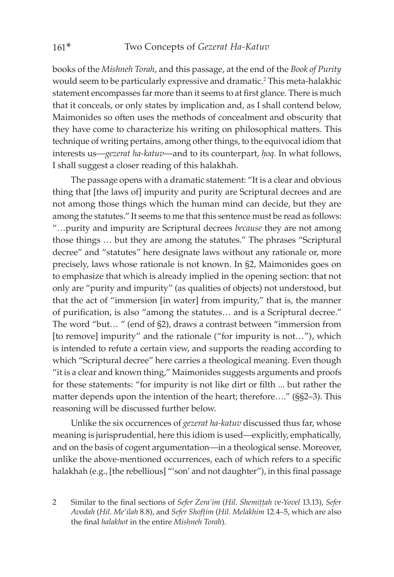books of the *Mishneh Torah*, and this passage, at the end of the *Book of Purity* would seem to be particularly expressive and dramatic.<sup>2</sup> This meta-halakhic statement encompasses far more than it seems to at first glance. There is much that it conceals, or only states by implication and, as I shall contend below, Maimonides so often uses the methods of concealment and obscurity that they have come to characterize his writing on philosophical matters. This technique of writing pertains, among other things, to the equivocal idiom that interests us—*gezerat ha-katuv*—and to its counterpart, *êoq.* In what follows, I shall suggest a closer reading of this halakhah.

The passage opens with a dramatic statement: "It is a clear and obvious thing that [the laws of] impurity and purity are Scriptural decrees and are not among those things which the human mind can decide, but they are among the statutes." It seems to me that this sentence must be read as follows: "…purity and impurity are Scriptural decrees *because* they are not among those things … but they are among the statutes." The phrases "Scriptural decree" and "statutes" here designate laws without any rationale or, more precisely, laws whose rationale is not known. In §2, Maimonides goes on to emphasize that which is already implied in the opening section: that not only are "purity and impurity" (as qualities of objects) not understood, but that the act of "immersion [in water] from impurity," that is, the manner of purification, is also "among the statutes… and is a Scriptural decree." The word "but… " (end of §2), draws a contrast between "immersion from [to remove] impurity" and the rationale ("for impurity is not..."), which is intended to refute a certain view, and supports the reading according to which "Scriptural decree" here carries a theological meaning. Even though "it is a clear and known thing," Maimonides suggests arguments and proofs for these statements: "for impurity is not like dirt or filth ... but rather the matter depends upon the intention of the heart; therefore…." (§§2–3). This reasoning will be discussed further below.

Unlike the six occurrences of *gezerat ha-katuv* discussed thus far, whose meaning is jurisprudential, here this idiom is used—explicitly, emphatically, and on the basis of cogent argumentation—in a theological sense. Moreover, unlike the above-mentioned occurrences, each of which refers to a specific halakhah (e.g., [the rebellious] "'son' and not daughter"), in this final passage

2 Similar to the final sections of *Sefer Zera'im* (*Hil. Shemittah ve-Yovel 13.13*), *Sefer Avodah* (*Hil. Me'ilah* 8.8), and *Sefer Shofûim* (*Hil. Melakhim* 12.4–5, which are also the final *halakhot* in the entire *Mishneh Torah*)*.*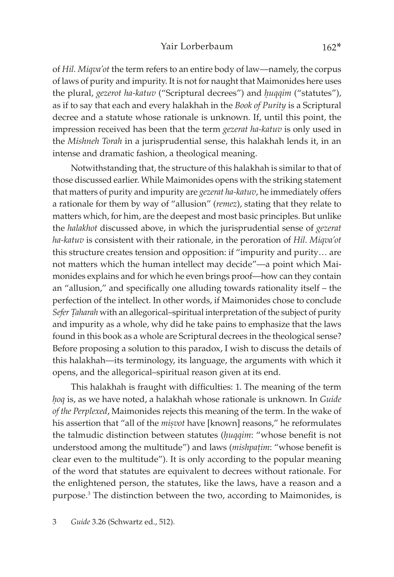of *Hil. Miqva'ot* the term refers to an entire body of law—namely, the corpus of laws of purity and impurity. It is not for naught that Maimonides here uses the plural, *gezerot ha-katuv* ("Scriptural decrees") and *huqqim* ("statutes"), as if to say that each and every halakhah in the *Book of Purity* is a Scriptural decree and a statute whose rationale is unknown. If, until this point, the impression received has been that the term *gezerat ha-katuv* is only used in the *Mishneh Torah* in a jurisprudential sense, this halakhah lends it, in an intense and dramatic fashion, a theological meaning.

Notwithstanding that, the structure of this halakhah is similar to that of those discussed earlier. While Maimonides opens with the striking statement that matters of purity and impurity are *gezerat ha-katuv*, he immediately offers a rationale for them by way of "allusion" (*remez*), stating that they relate to matters which, for him, are the deepest and most basic principles. But unlike the *halakhot* discussed above, in which the jurisprudential sense of *gezerat ha-katuv* is consistent with their rationale, in the peroration of *Hil. Miqva'ot*  this structure creates tension and opposition: if "impurity and purity… are not matters which the human intellect may decide"—a point which Maimonides explains and for which he even brings proof—how can they contain an "allusion," and specifically one alluding towards rationality itself – the perfection of the intellect. In other words, if Maimonides chose to conclude *Sefer Taharah* with an allegorical–spiritual interpretation of the subject of purity and impurity as a whole, why did he take pains to emphasize that the laws found in this book as a whole are Scriptural decrees in the theological sense? Before proposing a solution to this paradox, I wish to discuss the details of this halakhah—its terminology, its language, the arguments with which it opens, and the allegorical–spiritual reason given at its end.

This halakhah is fraught with difficulties: 1. The meaning of the term *êoq* is, as we have noted, a halakhah whose rationale is unknown. In *Guide of the Perplexed*, Maimonides rejects this meaning of the term. In the wake of his assertion that "all of the *misvot* have [known] reasons," he reformulates the talmudic distinction between statutes (*huqqim*: "whose benefit is not understood among the multitude") and laws (*mishpatim*: "whose benefit is clear even to the multitude"). It is only according to the popular meaning of the word that statutes are equivalent to decrees without rationale. For the enlightened person, the statutes, like the laws, have a reason and a purpose.3 The distinction between the two, according to Maimonides, is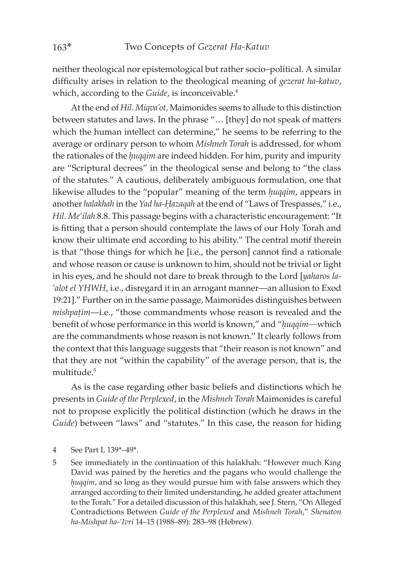neither theological nor epistemological but rather socio–political. A similar difficulty arises in relation to the theological meaning of *gezerat ha-katuv*, which, according to the *Guide*, is inconceivable.<sup>4</sup>

At the end of *Hil. Miqva'ot,* Maimonides seems to allude to this distinction between statutes and laws. In the phrase "… [they] do not speak of matters which the human intellect can determine," he seems to be referring to the average or ordinary person to whom *Mishneh Torah* is addressed, for whom the rationales of the *huqqim* are indeed hidden. For him, purity and impurity are "Scriptural decrees" in the theological sense and belong to "the class of the statutes." A cautious, deliberately ambiguous formulation, one that likewise alludes to the "popular" meaning of the term *huqqim*, appears in another *halakhah* in the *Yad ha-Hazaqah* at the end of "Laws of Trespasses," i.e., *Hil. Me'ilah* 8.8. This passage begins with a characteristic encouragement: "It is fitting that a person should contemplate the laws of our Holy Torah and know their ultimate end according to his ability." The central motif therein is that "those things for which he [i.e., the person] cannot find a rationale and whose reason or cause is unknown to him, should not be trivial or light in his eyes, and he should not dare to break through to the Lord [*yaharos la- 'alot el YHWH*, i.e., disregard it in an arrogant manner—an allusion to Exod 19:21]." Further on in the same passage, Maimonides distinguishes between mishpatim-i.e., "those commandments whose reason is revealed and the benefit of whose performance in this world is known," and "*êuqqim—*which are the commandments whose reason is not known." It clearly follows from the context that this language suggests that "their reason is not known" and that they are not "within the capability" of the average person, that is, the multitude $5$ 

As is the case regarding other basic beliefs and distinctions which he presents in *Guide of the Perplexed*, in the *Mishneh Torah* Maimonides is careful not to propose explicitly the political distinction (which he draws in the *Guide*) between "laws" and "statutes." In this case, the reason for hiding

5 See immediately in the continuation of this halakhah: "However much King David was pained by the heretics and the pagans who would challenge the *huqqim*, and so long as they would pursue him with false answers which they arranged according to their limited understanding, he added greater attachment to the Torah." For a detailed discussion of this halakhah, see J. Stern, "On Alleged Contradictions Between *Guide of the Perplexed* and *Mishneh Torah*," *Shenaton ha-Mishpat ha-'Ivri* 14–15 (1988–89): 283–98 (Hebrew).

<sup>4</sup> See Part I, 139\*–49\*.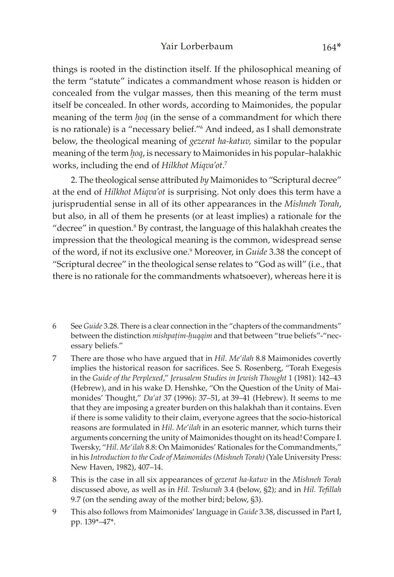## Yair Lorberbaum 164\*

things is rooted in the distinction itself. If the philosophical meaning of the term "statute" indicates a commandment whose reason is hidden or concealed from the vulgar masses, then this meaning of the term must itself be concealed. In other words, according to Maimonides, the popular meaning of the term *hog* (in the sense of a commandment for which there is no rationale) is a "necessary belief."<sup>6</sup> And indeed, as I shall demonstrate below, the theological meaning of *gezerat ha-katuv,* similar to the popular meaning of the term *hoq*, is necessary to Maimonides in his popular–halakhic works, including the end of *Hilkhot Miqva'ot*. 7

2. The theological sense attributed *by* Maimonides to "Scriptural decree" at the end of *Hilkhot Miqva'ot* is surprising. Not only does this term have a jurisprudential sense in all of its other appearances in the *Mishneh Torah*, but also, in all of them he presents (or at least implies) a rationale for the "decree" in question.<sup>8</sup> By contrast, the language of this halakhah creates the impression that the theological meaning is the common, widespread sense of the word, if not its exclusive one.<sup>9</sup> Moreover, in *Guide* 3.38 the concept of "Scriptural decree" in the theological sense relates to "God as will" (i.e., that there is no rationale for the commandments whatsoever), whereas here it is

- 6 See *Guide* 3.28. There is a clear connection in the "chapters of the commandments" between the distinction *mishpatim-huqqim* and that between "true beliefs"-"necessary beliefs."
- 7 There are those who have argued that in *Hil. Me'ilah* 8.8 Maimonides covertly implies the historical reason for sacrifices. See S. Rosenberg, "Torah Exegesis in the *Guide of the Perplexed*," *Jerusalem Studies in Jewish Thought* 1 (1981): 142–43 (Hebrew), and in his wake D. Henshke, "On the Question of the Unity of Maimonides' Thought," *Da'at* 37 (1996): 37–51, at 39–41 (Hebrew). It seems to me that they are imposing a greater burden on this halakhah than it contains. Even if there is some validity to their claim, everyone agrees that the socio-historical reasons are formulated in *Hil. Me'ilah* in an esoteric manner, which turns their arguments concerning the unity of Maimonides thought on its head! Compare I. Twersky, "*Hil. Me'ilah* 8.8: On Maimonides' Rationales for the Commandments," in his *Introduction to the Code of Maimonides (Mishneh Torah)* (Yale University Press: New Haven, 1982), 407–14.
- 8 This is the case in all six appearances of *gezerat ha-katuv* in the *Mishneh Torah* discussed above, as well as in *Hil. Teshuvah* 3.4 (below, §2); and in *Hil. Tefillah*  9.7 (on the sending away of the mother bird; below, §3).
- 9 This also follows from Maimonides' language in *Guide* 3.38, discussed in Part I, pp. 139\*–47\*.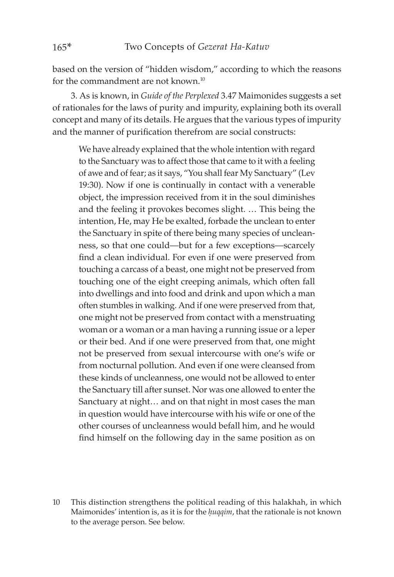based on the version of "hidden wisdom," according to which the reasons for the commandment are not known  $10$ 

3. As is known, in *Guide of the Perplexed* 3.47 Maimonides suggests a set of rationales for the laws of purity and impurity, explaining both its overall concept and many of its details. He argues that the various types of impurity and the manner of purification therefrom are social constructs:

We have already explained that the whole intention with regard to the Sanctuary was to affect those that came to it with a feeling of awe and of fear; as it says, "You shall fear My Sanctuary" (Lev 19:30). Now if one is continually in contact with a venerable object, the impression received from it in the soul diminishes and the feeling it provokes becomes slight. … This being the intention, He, may He be exalted, forbade the unclean to enter the Sanctuary in spite of there being many species of uncleanness, so that one could—but for a few exceptions—scarcely find a clean individual. For even if one were preserved from touching a carcass of a beast, one might not be preserved from touching one of the eight creeping animals, which often fall into dwellings and into food and drink and upon which a man often stumbles in walking. And if one were preserved from that, one might not be preserved from contact with a menstruating woman or a woman or a man having a running issue or a leper or their bed. And if one were preserved from that, one might not be preserved from sexual intercourse with one's wife or from nocturnal pollution. And even if one were cleansed from these kinds of uncleanness, one would not be allowed to enter the Sanctuary till after sunset. Nor was one allowed to enter the Sanctuary at night… and on that night in most cases the man in question would have intercourse with his wife or one of the other courses of uncleanness would befall him, and he would find himself on the following day in the same position as on

<sup>10</sup> This distinction strengthens the political reading of this halakhah, in which Maimonides' intention is, as it is for the *hugqim*, that the rationale is not known to the average person. See below.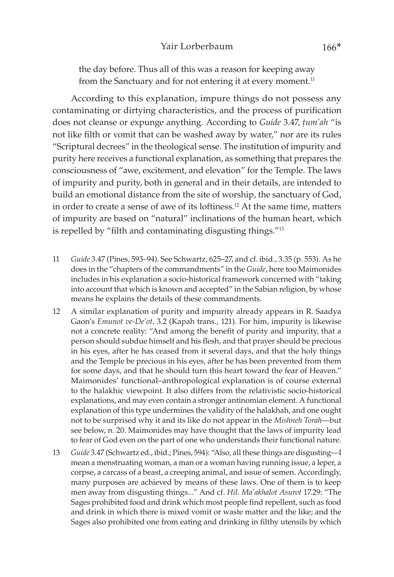the day before. Thus all of this was a reason for keeping away from the Sanctuary and for not entering it at every moment.<sup>11</sup>

According to this explanation, impure things do not possess any contaminating or dirtying characteristics, and the process of purification does not cleanse or expunge anything. According to *Guide* 3.47, *ûum'ah* "is not like filth or vomit that can be washed away by water," nor are its rules "Scriptural decrees" in the theological sense. The institution of impurity and purity here receives a functional explanation, as something that prepares the consciousness of "awe, excitement, and elevation" for the Temple. The laws of impurity and purity, both in general and in their details, are intended to build an emotional distance from the site of worship, the sanctuary of God, in order to create a sense of awe of its loftiness.<sup>12</sup> At the same time, matters of impurity are based on "natural" inclinations of the human heart, which is repelled by "filth and contaminating disgusting things."<sup>13</sup>

- 11 *Guide* 3.47 (Pines, 593–94). See Schwartz, 625–27, and cf. ibid., 3.35 (p. 553). As he does in the "chapters of the commandments" in the *Guide*, here too Maimonides includes in his explanation a socio-historical framework concerned with "taking into account that which is known and accepted" in the Sabian religion, by whose means he explains the details of these commandments.
- 12 A similar explanation of purity and impurity already appears in R. Saadya Gaon's *Emunot ve-De'ot,* 3.2 (Kapah trans., 121). For him, impurity is likewise not a concrete reality: "And among the benefit of purity and impurity, that a person should subdue himself and his flesh, and that prayer should be precious in his eyes, after he has ceased from it several days, and that the holy things and the Temple be precious in his eyes, after he has been prevented from them for some days, and that he should turn this heart toward the fear of Heaven." Maimonides' functional–anthropological explanation is of course external to the halakhic viewpoint. It also differs from the relativistic socio-historical explanations, and may even contain a stronger antinomian element. A functional explanation of this type undermines the validity of the halakhah, and one ought not to be surprised why it and its like do not appear in the *Mishneh Torah*—but see below, n. 20. Maimonides may have thought that the laws of impurity lead to fear of God even on the part of one who understands their functional nature.
- 13 *Guide* 3.47 (Schwartz ed., ibid.; Pines, 594): "Also, all these things are disgusting—I mean a menstruating woman, a man or a woman having running issue, a leper, a corpse, a carcass of a beast, a creeping animal, and issue of semen. Accordingly, many purposes are achieved by means of these laws. One of them is to keep men away from disgusting things..." And cf. *Hil. Ma'akhalot Asurot* 17.29: "The Sages prohibited food and drink which most people find repellent, such as food and drink in which there is mixed vomit or waste matter and the like; and the Sages also prohibited one from eating and drinking in filthy utensils by which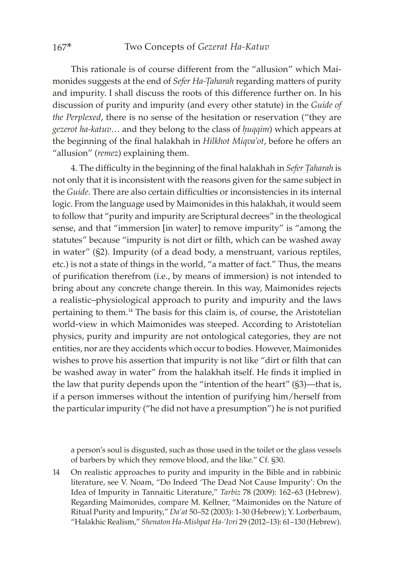This rationale is of course different from the "allusion" which Maimonides suggests at the end of *Sefer Ha-Taharah* regarding matters of purity and impurity. I shall discuss the roots of this difference further on. In his discussion of purity and impurity (and every other statute) in the *Guide of the Perplexed*, there is no sense of the hesitation or reservation ("they are *gezerot ha-katuv*… and they belong to the class of *hugqim*) which appears at the beginning of the final halakhah in *Hilkhot Miqva'ot*, before he offers an "allusion" (*remez*) explaining them.

4. The difficulty in the beginning of the final halakhah in *Sefer Taharah* is not only that it is inconsistent with the reasons given for the same subject in the *Guide*. There are also certain difficulties or inconsistencies in its internal logic. From the language used by Maimonides in this halakhah, it would seem to follow that "purity and impurity are Scriptural decrees" in the theological sense, and that "immersion [in water] to remove impurity" is "among the statutes" because "impurity is not dirt or filth, which can be washed away in water" (§2). Impurity (of a dead body, a menstruant, various reptiles, etc.) is not a state of things in the world, "a matter of fact." Thus, the means of purification therefrom (i.e., by means of immersion) is not intended to bring about any concrete change therein. In this way, Maimonides rejects a realistic–physiological approach to purity and impurity and the laws pertaining to them.14 The basis for this claim is, of course, the Aristotelian world-view in which Maimonides was steeped. According to Aristotelian physics, purity and impurity are not ontological categories, they are not entities, nor are they accidents which occur to bodies. However, Maimonides wishes to prove his assertion that impurity is not like "dirt or filth that can be washed away in water" from the halakhah itself. He finds it implied in the law that purity depends upon the "intention of the heart" (§3)—that is, if a person immerses without the intention of purifying him/herself from the particular impurity ("he did not have a presumption") he is not purified

a person's soul is disgusted, such as those used in the toilet or the glass vessels of barbers by which they remove blood, and the like." Cf. §30.

14 On realistic approaches to purity and impurity in the Bible and in rabbinic literature, see V. Noam, "Do Indeed 'The Dead Not Cause Impurity': On the Idea of Impurity in Tannaitic Literature," *Tarbiz* 78 (2009): 162–63 (Hebrew). Regarding Maimonides, compare M. Kellner, "Maimonides on the Nature of Ritual Purity and Impurity," *Da'at* 50–52 (2003): 1-30 (Hebrew); Y. Lorberbaum, "Halakhic Realism," *Shenaton Ha-Mishpat Ha-'Ivri* 29 (2012–13): 61–130 (Hebrew).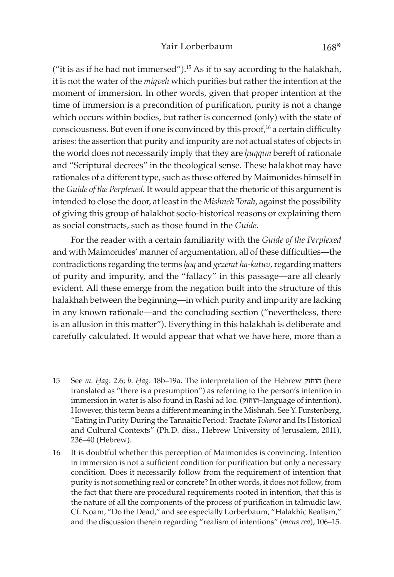("it is as if he had not immersed").<sup>15</sup> As if to say according to the halakhah, it is not the water of the *miqveh* which purifies but rather the intention at the moment of immersion. In other words, given that proper intention at the time of immersion is a precondition of purification, purity is not a change which occurs within bodies, but rather is concerned (only) with the state of consciousness. But even if one is convinced by this proof, $16$  a certain difficulty arises: the assertion that purity and impurity are not actual states of objects in the world does not necessarily imply that they are *hugqim* bereft of rationale and "Scriptural decrees" in the theological sense. These halakhot may have rationales of a different type, such as those offered by Maimonides himself in the *Guide of the Perplexed.* It would appear that the rhetoric of this argument is intended to close the door, at least in the *Mishneh Torah*, against the possibility of giving this group of halakhot socio-historical reasons or explaining them as social constructs, such as those found in the *Guide*.

For the reader with a certain familiarity with the *Guide of the Perplexed*  and with Maimonides' manner of argumentation, all of these difficulties—the contradictions regarding the terms *êoq* and *gezerat ha-katuv*, regarding matters of purity and impurity, and the "fallacy" in this passage—are all clearly evident. All these emerge from the negation built into the structure of this halakhah between the beginning—in which purity and impurity are lacking in any known rationale—and the concluding section ("nevertheless, there is an allusion in this matter"). Everything in this halakhah is deliberate and carefully calculated. It would appear that what we have here, more than a

- 15 See *m. Êag.* 2.6; *b. Êag.* 18b–19a. The interpretation of the Hebrew הוחזק) here translated as "there is a presumption") as referring to the person's intention in immersion in water is also found in Rashi ad loc. (הוחזק–language of intention). However, this term bears a different meaning in the Mishnah. See Y. Furstenberg, "Eating in Purity During the Tannaitic Period: Tractate *Ûoharot* and Its Historical and Cultural Contexts" (Ph.D. diss., Hebrew University of Jerusalem, 2011), 236–40 (Hebrew).
- 16 It is doubtful whether this perception of Maimonides is convincing. Intention in immersion is not a sufficient condition for purification but only a necessary condition. Does it necessarily follow from the requirement of intention that purity is not something real or concrete? In other words, it does not follow, from the fact that there are procedural requirements rooted in intention, that this is the nature of all the components of the process of purification in talmudic law. Cf. Noam, "Do the Dead," and see especially Lorberbaum, "Halakhic Realism," and the discussion therein regarding "realism of intentions" (*mens rea*), 106–15.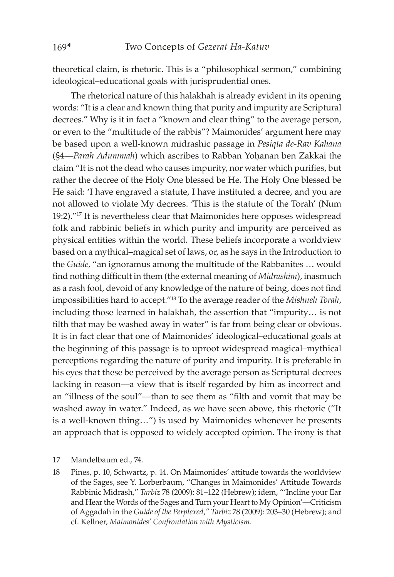theoretical claim, is rhetoric. This is a "philosophical sermon," combining ideological–educational goals with jurisprudential ones.

The rhetorical nature of this halakhah is already evident in its opening words: "It is a clear and known thing that purity and impurity are Scriptural decrees." Why is it in fact a "known and clear thing" to the average person, or even to the "multitude of the rabbis"? Maimonides' argument here may be based upon a well-known midrashic passage in *Pesiqta de-Rav Kahana*  (§4—*Parah Adummah*) which ascribes to Rabban Yohanan ben Zakkai the claim "It is not the dead who causes impurity, nor water which purifies, but rather the decree of the Holy One blessed be He. The Holy One blessed be He said: 'I have engraved a statute, I have instituted a decree, and you are not allowed to violate My decrees. 'This is the statute of the Torah' (Num 19:2)."17 It is nevertheless clear that Maimonides here opposes widespread folk and rabbinic beliefs in which purity and impurity are perceived as physical entities within the world. These beliefs incorporate a worldview based on a mythical–magical set of laws, or, as he says in the Introduction to the *Guide,* "an ignoramus among the multitude of the Rabbanites … would find nothing difficult in them (the external meaning of *Midrashim*), inasmuch as a rash fool, devoid of any knowledge of the nature of being, does not find impossibilities hard to accept."18 To the average reader of the *Mishneh Torah*, including those learned in halakhah, the assertion that "impurity… is not filth that may be washed away in water" is far from being clear or obvious. It is in fact clear that one of Maimonides' ideological–educational goals at the beginning of this passage is to uproot widespread magical–mythical perceptions regarding the nature of purity and impurity. It is preferable in his eyes that these be perceived by the average person as Scriptural decrees lacking in reason—a view that is itself regarded by him as incorrect and an "illness of the soul"—than to see them as "filth and vomit that may be washed away in water." Indeed, as we have seen above, this rhetoric ("It is a well-known thing…") is used by Maimonides whenever he presents an approach that is opposed to widely accepted opinion. The irony is that

17 Mandelbaum ed., 74.

18 Pines, p. 10, Schwartz, p. 14. On Maimonides' attitude towards the worldview of the Sages, see Y. Lorberbaum, "Changes in Maimonides' Attitude Towards Rabbinic Midrash," *Tarbiz* 78 (2009): 81–122 (Hebrew); idem, "'Incline your Ear and Hear the Words of the Sages and Turn your Heart to My Opinion'—Criticism of Aggadah in the *Guide of the Perplexed*,*" Tarbiz* 78 (2009): 203–30 (Hebrew); and cf. Kellner, *Maimonides' Confrontation with Mysticism*.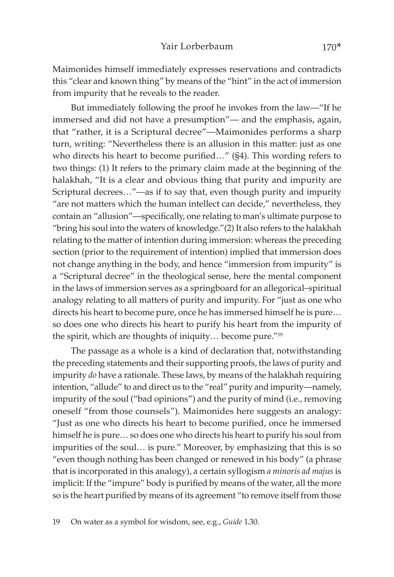Maimonides himself immediately expresses reservations and contradicts this "clear and known thing" by means of the "hint" in the act of immersion from impurity that he reveals to the reader.

But immediately following the proof he invokes from the law—"If he immersed and did not have a presumption"— and the emphasis, again, that "rather, it is a Scriptural decree"—Maimonides performs a sharp turn, writing: "Nevertheless there is an allusion in this matter: just as one who directs his heart to become purified…" (§4). This wording refers to two things: (1) It refers to the primary claim made at the beginning of the halakhah, "It is a clear and obvious thing that purity and impurity are Scriptural decrees…"—as if to say that, even though purity and impurity "are not matters which the human intellect can decide," nevertheless, they contain an "allusion"—specifically, one relating to man's ultimate purpose to "bring his soul into the waters of knowledge."(2) It also refers to the halakhah relating to the matter of intention during immersion: whereas the preceding section (prior to the requirement of intention) implied that immersion does not change anything in the body, and hence "immersion from impurity" is a "Scriptural decree" in the theological sense, here the mental component in the laws of immersion serves as a springboard for an allegorical–spiritual analogy relating to all matters of purity and impurity. For "just as one who directs his heart to become pure, once he has immersed himself he is pure… so does one who directs his heart to purify his heart from the impurity of the spirit, which are thoughts of iniquity… become pure."<sup>19</sup>

The passage as a whole is a kind of declaration that, notwithstanding the preceding statements and their supporting proofs, the laws of purity and impurity *do* have a rationale. These laws, by means of the halakhah requiring intention, "allude" to and direct us to the "real" purity and impurity—namely, impurity of the soul ("bad opinions") and the purity of mind (i.e., removing oneself "from those counsels"). Maimonides here suggests an analogy: "Just as one who directs his heart to become purified, once he immersed himself he is pure… so does one who directs his heart to purify his soul from impurities of the soul… is pure." Moreover, by emphasizing that this is so "even though nothing has been changed or renewed in his body" (a phrase that is incorporated in this analogy), a certain syllogism *a minoris ad majus* is implicit: If the "impure" body is purified by means of the water, all the more so is the heart purified by means of its agreement "to remove itself from those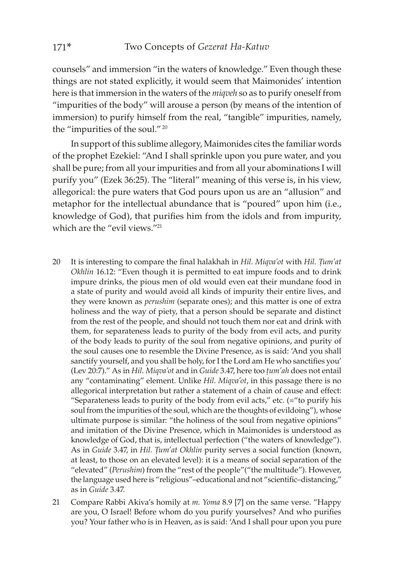counsels" and immersion "in the waters of knowledge." Even though these things are not stated explicitly, it would seem that Maimonides' intention here is that immersion in the waters of the *miqveh* so as to purify oneself from "impurities of the body" will arouse a person (by means of the intention of immersion) to purify himself from the real, "tangible" impurities, namely, the "impurities of the soul." <sup>20</sup>

In support of this sublime allegory, Maimonides cites the familiar words of the prophet Ezekiel: "And I shall sprinkle upon you pure water, and you shall be pure; from all your impurities and from all your abominations I will purify you" (Ezek 36:25). The "literal" meaning of this verse is, in his view, allegorical: the pure waters that God pours upon us are an "allusion" and metaphor for the intellectual abundance that is "poured" upon him (i.e., knowledge of God), that purifies him from the idols and from impurity, which are the "evil views."<sup>21</sup>

- 20 It is interesting to compare the final halakhah in *Hil. Miqva'ot* with *Hil. Ûum'at Okhlin* 16.12: "Even though it is permitted to eat impure foods and to drink impure drinks, the pious men of old would even eat their mundane food in a state of purity and would avoid all kinds of impurity their entire lives, and they were known as *perushim* (separate ones); and this matter is one of extra holiness and the way of piety, that a person should be separate and distinct from the rest of the people, and should not touch them nor eat and drink with them, for separateness leads to purity of the body from evil acts, and purity of the body leads to purity of the soul from negative opinions, and purity of the soul causes one to resemble the Divine Presence, as is said: 'And you shall sanctify yourself, and you shall be holy, for I the Lord am He who sanctifies you' (Lev 20:7)." As in *Hil. Miqva'ot* and in *Guide* 3.47, here too *ûum'ah* does not entail any "contaminating" element. Unlike *Hil. Miqva'ot*, in this passage there is no allegorical interpretation but rather a statement of a chain of cause and effect: "Separateness leads to purity of the body from evil acts," etc. (="to purify his soul from the impurities of the soul, which are the thoughts of evildoing"), whose ultimate purpose is similar: "the holiness of the soul from negative opinions" and imitation of the Divine Presence, which in Maimonides is understood as knowledge of God, that is, intellectual perfection ("the waters of knowledge"). As in *Guide* 3.47, in *Hil. Tum'at Okhlin* purity serves a social function (known, at least, to those on an elevated level): it is a means of social separation of the "elevated" (*Perushim*) from the "rest of the people"("the multitude"). However, the language used here is "religious"–educational and not "scientific–distancing," as in *Guide* 3.47.
- 21 Compare Rabbi Akiva's homily at *m. Yoma* 8.9 [7] on the same verse. "Happy are you, O Israel! Before whom do you purify yourselves? And who purifies you? Your father who is in Heaven, as is said: 'And I shall pour upon you pure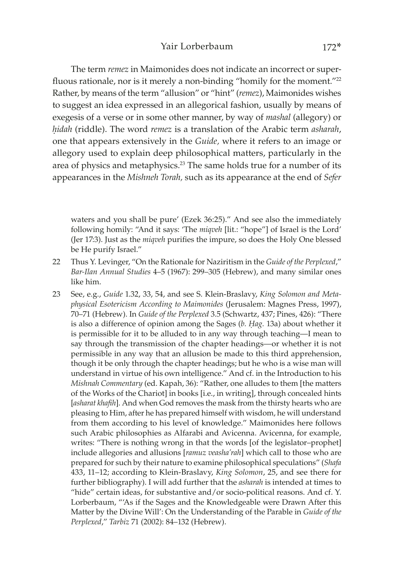The term *remez* in Maimonides does not indicate an incorrect or superfluous rationale, nor is it merely a non-binding "homily for the moment."<sup>22</sup> Rather, by means of the term "allusion" or "hint" (*remez*), Maimonides wishes to suggest an idea expressed in an allegorical fashion, usually by means of exegesis of a verse or in some other manner, by way of *mashal* (allegory) or *êidah* (riddle). The word *remez* is a translation of the Arabic term *asharah*, one that appears extensively in the *Guide,* where it refers to an image or allegory used to explain deep philosophical matters, particularly in the area of physics and metaphysics.<sup>23</sup> The same holds true for a number of its appearances in the *Mishneh Torah,* such as its appearance at the end of *Sefer* 

waters and you shall be pure' (Ezek 36:25)." And see also the immediately following homily: "And it says: 'The *miqveh* [lit.: "hope"] of Israel is the Lord' (Jer 17:3). Just as the *miqveh* purifies the impure, so does the Holy One blessed be He purify Israel."

- 22 Thus Y. Levinger, "On the Rationale for Naziritism in the *Guide of the Perplexed*," *Bar-Ilan Annual Studies* 4–5 (1967): 299–305 (Hebrew), and many similar ones like him.
- 23 See, e.g., *Guide* 1.32, 33, 54, and see S. Klein-Braslavy, *King Solomon and Metaphysical Esotericism According to Maimonides* (Jerusalem: Magnes Press, 1997), 70–71 (Hebrew). In *Guide of the Perplexed* 3.5 (Schwartz, 437; Pines, 426): "There is also a difference of opinion among the Sages (*b. Êag.* 13a) about whether it is permissible for it to be alluded to in any way through teaching—I mean to say through the transmission of the chapter headings—or whether it is not permissible in any way that an allusion be made to this third apprehension, though it be only through the chapter headings; but he who is a wise man will understand in virtue of his own intelligence." And cf. in the Introduction to his *Mishnah Commentary* (ed. Kapah, 36): "Rather, one alludes to them [the matters of the Works of the Chariot] in books [i.e., in writing], through concealed hints [*asharat khafih*]. And when God removes the mask from the thirsty hearts who are pleasing to Him, after he has prepared himself with wisdom, he will understand from them according to his level of knowledge." Maimonides here follows such Arabic philosophies as Alfarabi and Avicenna. Avicenna, for example, writes: "There is nothing wrong in that the words [of the legislator–prophet] include allegories and allusions [*ramuz veasha'rah*] which call to those who are prepared for such by their nature to examine philosophical speculations" (*Shafa* 433, 11–12; according to Klein-Braslavy, *King Solomon*, 25, and see there for further bibliography). I will add further that the *asharah* is intended at times to "hide" certain ideas, for substantive and/or socio-political reasons. And cf. Y. Lorberbaum, "'As if the Sages and the Knowledgeable were Drawn After this Matter by the Divine Will': On the Understanding of the Parable in *Guide of the Perplexed*," *Tarbiz* 71 (2002): 84–132 (Hebrew).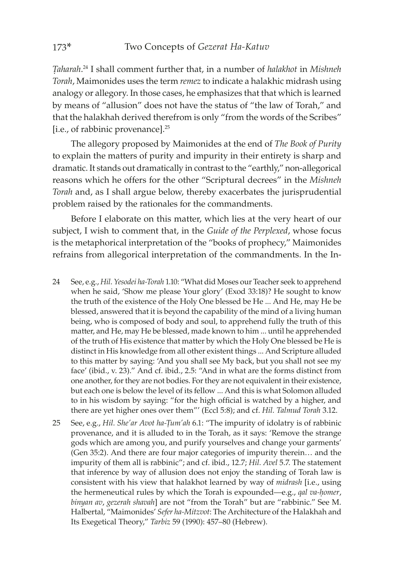*Ûaharah*. 24 I shall comment further that, in a number of *halakhot* in *Mishneh Torah*, Maimonides uses the term *remez* to indicate a halakhic midrash using analogy or allegory. In those cases, he emphasizes that that which is learned by means of "allusion" does not have the status of "the law of Torah," and that the halakhah derived therefrom is only "from the words of the Scribes" [i.e., of rabbinic provenance].<sup>25</sup>

The allegory proposed by Maimonides at the end of *The Book of Purity*  to explain the matters of purity and impurity in their entirety is sharp and dramatic. It stands out dramatically in contrast to the "earthly," non-allegorical reasons which he offers for the other "Scriptural decrees" in the *Mishneh Torah* and, as I shall argue below, thereby exacerbates the jurisprudential problem raised by the rationales for the commandments.

Before I elaborate on this matter, which lies at the very heart of our subject, I wish to comment that, in the *Guide of the Perplexed*, whose focus is the metaphorical interpretation of the "books of prophecy," Maimonides refrains from allegorical interpretation of the commandments. In the In-

- 24 See, e.g., *Hil*. *Yesodei ha-Torah* 1.10: "What did Moses our Teacher seek to apprehend when he said, 'Show me please Your glory' (Exod 33:18)? He sought to know the truth of the existence of the Holy One blessed be He ... And He, may He be blessed, answered that it is beyond the capability of the mind of a living human being, who is composed of body and soul, to apprehend fully the truth of this matter, and He, may He be blessed, made known to him ... until he apprehended of the truth of His existence that matter by which the Holy One blessed be He is distinct in His knowledge from all other existent things ... And Scripture alluded to this matter by saying: 'And you shall see My back, but you shall not see my face' (ibid., v. 23)." And cf. ibid., 2.5: "And in what are the forms distinct from one another, for they are not bodies. For they are not equivalent in their existence, but each one is below the level of its fellow ... And this is what Solomon alluded to in his wisdom by saying: "for the high official is watched by a higher, and there are yet higher ones over them"' (Eccl 5:8); and cf. *Hil. Talmud Torah* 3.12.
- 25 See, e.g., *Hil. She'ar Avot ha-Țum'ah 6.*1: "The impurity of idolatry is of rabbinic provenance, and it is alluded to in the Torah, as it says: 'Remove the strange gods which are among you, and purify yourselves and change your garments' (Gen 35:2). And there are four major categories of impurity therein… and the impurity of them all is rabbinic"; and cf. ibid., 12.7; *Hil. Avel* 5.7. The statement that inference by way of allusion does not enjoy the standing of Torah law is consistent with his view that halakhot learned by way of *midrash* [i.e., using the hermeneutical rules by which the Torah is expounded—e.g., *qal va-homer*, *binyan av*, *gezerah shavah*] are not "from the Torah" but are "rabbinic." See M. Halbertal, "Maimonides' *Sefer ha-Mitzvot*: The Architecture of the Halakhah and Its Exegetical Theory," *Tarbiz* 59 (1990): 457–80 (Hebrew).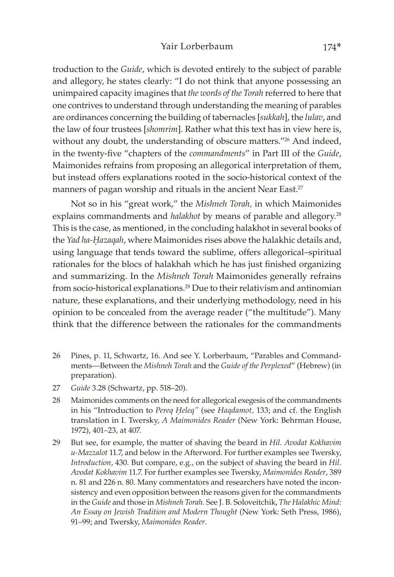### Yair Lorberbaum 174\*

troduction to the *Guide*, which is devoted entirely to the subject of parable and allegory, he states clearly: "I do not think that anyone possessing an unimpaired capacity imagines that *the words of the Torah* referred to here that one contrives to understand through understanding the meaning of parables are ordinances concerning the building of tabernacles [*sukkah*], the *lulav*, and the law of four trustees [*shomrim*]. Rather what this text has in view here is, without any doubt, the understanding of obscure matters."<sup>26</sup> And indeed, in the twenty-five "chapters of the *commandments*" in Part III of the *Guide*, Maimonides refrains from proposing an allegorical interpretation of them, but instead offers explanations rooted in the socio-historical context of the manners of pagan worship and rituals in the ancient Near East.<sup>27</sup>

Not so in his "great work," the *Mishneh Torah,* in which Maimonides explains commandments and *halakhot* by means of parable and allegory.<sup>28</sup> This is the case, as mentioned, in the concluding halakhot in several books of the *Yad ha-Êazaqah*, where Maimonides rises above the halakhic details and, using language that tends toward the sublime, offers allegorical–spiritual rationales for the blocs of halakhah which he has just finished organizing and summarizing. In the *Mishneh Torah* Maimonides generally refrains from socio-historical explanations.<sup>29</sup> Due to their relativism and antinomian nature, these explanations, and their underlying methodology, need in his opinion to be concealed from the average reader ("the multitude"). Many think that the difference between the rationales for the commandments

- 26 Pines, p. 11, Schwartz, 16. And see Y. Lorberbaum, "Parables and Commandments—Between the *Mishneh Torah* and the *Guide of the Perplexed*" (Hebrew) (in preparation).
- 27 *Guide* 3.28 (Schwartz, pp. 518–20).
- 28 Maimonides comments on the need for allegorical exegesis of the commandments in his "Introduction to *Pereq Êeleq"* (see *Haqdamot,* 133; and cf. the English translation in I. Twersky, *A Maimonides Reader* (New York: Behrman House, 1972), 401–23, at 407.
- 29 But see, for example, the matter of shaving the beard in *Hil. Avodat Kokhavim u-Mazzalot* 11.7, and below in the Afterword. For further examples see Twersky, *Introduction*, 430. But compare, e.g., on the subject of shaving the beard in *Hil. Avodat Kokhavim* 11.7. For further examples see Twersky, *Maimonides Reader*, 389 n. 81 and 226 n. 80. Many commentators and researchers have noted the inconsistency and even opposition between the reasons given for the commandments in the *Guide* and those in *Mishneh Torah.* See J. B. Soloveitchik, *The Halakhic Mind: An Essay on Jewish Tradition and Modern Thought* (New York: Seth Press, 1986), 91–99; and Twersky, *Maimonides Reader*.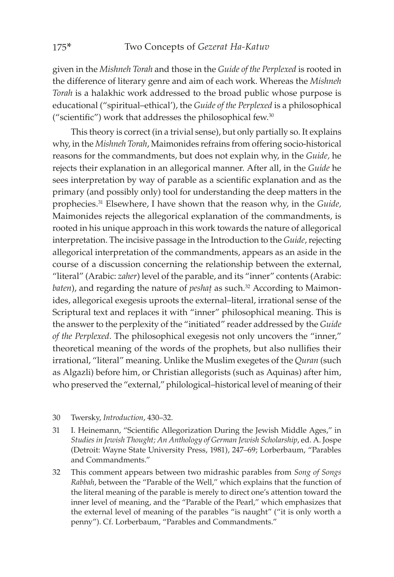given in the *Mishneh Torah* and those in the *Guide of the Perplexed* is rooted in the difference of literary genre and aim of each work. Whereas the *Mishneh Torah* is a halakhic work addressed to the broad public whose purpose is educational ("spiritual–ethical'), the *Guide of the Perplexed* is a philosophical ("scientific") work that addresses the philosophical few.<sup>30</sup>

This theory is correct (in a trivial sense), but only partially so. It explains why, in the *Mishneh Torah*, Maimonides refrains from offering socio-historical reasons for the commandments, but does not explain why, in the *Guide,* he rejects their explanation in an allegorical manner. After all, in the *Guide* he sees interpretation by way of parable as a scientific explanation and as the primary (and possibly only) tool for understanding the deep matters in the prophecies.31 Elsewhere, I have shown that the reason why, in the *Guide,* Maimonides rejects the allegorical explanation of the commandments, is rooted in his unique approach in this work towards the nature of allegorical interpretation. The incisive passage in the Introduction to the *Guide*, rejecting allegorical interpretation of the commandments, appears as an aside in the course of a discussion concerning the relationship between the external, "literal" (Arabic: *zaher*) level of the parable, and its "inner" contents (Arabic: *baten*), and regarding the nature of *peshat* as such.<sup>32</sup> According to Maimonides, allegorical exegesis uproots the external–literal, irrational sense of the Scriptural text and replaces it with "inner" philosophical meaning. This is the answer to the perplexity of the "initiated" reader addressed by the *Guide of the Perplexed*. The philosophical exegesis not only uncovers the "inner," theoretical meaning of the words of the prophets, but also nullifies their irrational, "literal" meaning. Unlike the Muslim exegetes of the *Quran* (such as Algazli) before him, or Christian allegorists (such as Aquinas) after him, who preserved the "external," philological–historical level of meaning of their

#### 30 Twersky, *Introduction*, 430–32.

- 31 I. Heinemann, "Scientific Allegorization During the Jewish Middle Ages," in *Studies in Jewish Thought; An Anthology of German Jewish Scholarship*, ed. A. Jospe (Detroit: Wayne State University Press, 1981), 247–69; Lorberbaum, "Parables and Commandments."
- 32 This comment appears between two midrashic parables from *Song of Songs Rabbah*, between the "Parable of the Well," which explains that the function of the literal meaning of the parable is merely to direct one's attention toward the inner level of meaning, and the "Parable of the Pearl," which emphasizes that the external level of meaning of the parables "is naught" ("it is only worth a penny"). Cf. Lorberbaum, "Parables and Commandments."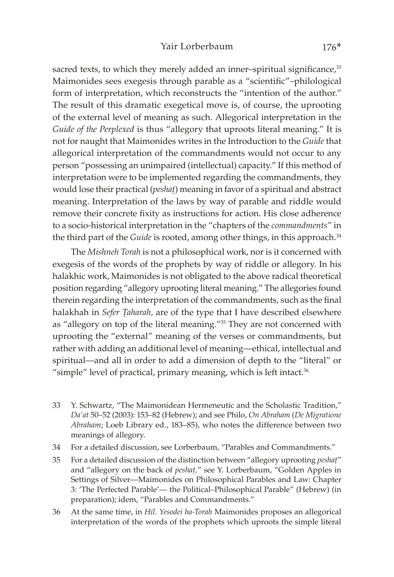sacred texts, to which they merely added an inner-spiritual significance,<sup>33</sup> Maimonides sees exegesis through parable as a "scientific"–philological form of interpretation, which reconstructs the "intention of the author." The result of this dramatic exegetical move is, of course, the uprooting of the external level of meaning as such. Allegorical interpretation in the *Guide of the Perplexed* is thus "allegory that uproots literal meaning." It is not for naught that Maimonides writes in the Introduction to the *Guide* that allegorical interpretation of the commandments would not occur to any person "possessing an unimpaired (intellectual) capacity." If this method of interpretation were to be implemented regarding the commandments, they would lose their practical (*peshaû*) meaning in favor of a spiritual and abstract meaning. Interpretation of the laws by way of parable and riddle would remove their concrete fixity as instructions for action. His close adherence to a socio-historical interpretation in the "chapters of the *commandments*" in the third part of the *Guide* is rooted, among other things, in this approach.<sup>34</sup>

The *Mishneh Torah* is not a philosophical work, nor is it concerned with exegesis of the words of the prophets by way of riddle or allegory. In his halakhic work, Maimonides is not obligated to the above radical theoretical position regarding "allegory uprooting literal meaning." The allegories found therein regarding the interpretation of the commandments, such as the final halakhah in *Sefer Taharah,* are of the type that I have described elsewhere as "allegory on top of the literal meaning."<sup>35</sup> They are not concerned with uprooting the "external" meaning of the verses or commandments, but rather with adding an additional level of meaning—ethical, intellectual and spiritual—and all in order to add a dimension of depth to the "literal" or "simple" level of practical, primary meaning, which is left intact.<sup>36</sup>

- 33 Y. Schwartz, "The Maimonidean Hermeneutic and the Scholastic Tradition," *Da'at* 50–52 (2003): 153–82 (Hebrew); and see Philo, *On Abraham* (*De Migratione Abraham*; Loeb Library ed., 183–85), who notes the difference between two meanings of allegory.
- 34 For a detailed discussion, see Lorberbaum, "Parables and Commandments."
- 35 For a detailed discussion of the distinction between "allegory uprooting *peshaû*" and "allegory on the back of *peshat,"* see Y. Lorberbaum, "Golden Apples in Settings of Silver—Maimonides on Philosophical Parables and Law: Chapter 3: 'The Perfected Parable'— the Political–Philosophical Parable" (Hebrew) (in preparation); idem, "Parables and Commandments."
- 36 At the same time, in *Hil. Yesodei ha-Torah* Maimonides proposes an allegorical interpretation of the words of the prophets which uproots the simple literal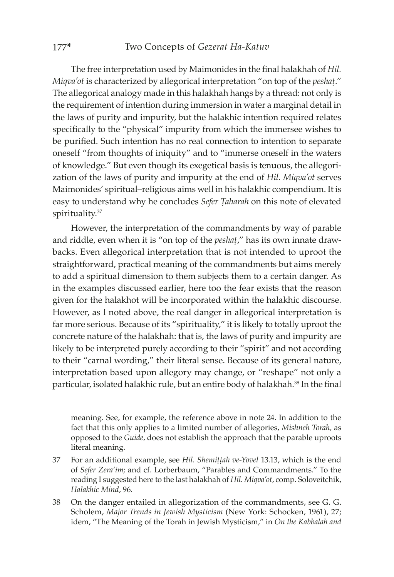The free interpretation used by Maimonides in the final halakhah of *Hil. Miqva'ot* is characterized by allegorical interpretation "on top of the *peshat.*" The allegorical analogy made in this halakhah hangs by a thread: not only is the requirement of intention during immersion in water a marginal detail in the laws of purity and impurity, but the halakhic intention required relates specifically to the "physical" impurity from which the immersee wishes to be purified. Such intention has no real connection to intention to separate oneself "from thoughts of iniquity" and to "immerse oneself in the waters of knowledge." But even though its exegetical basis is tenuous, the allegorization of the laws of purity and impurity at the end of *Hil. Miqva'ot* serves Maimonides' spiritual–religious aims well in his halakhic compendium. It is easy to understand why he concludes *Sefer Taharah* on this note of elevated spirituality.<sup>37</sup>

However, the interpretation of the commandments by way of parable and riddle, even when it is "on top of the *peshat*," has its own innate drawbacks. Even allegorical interpretation that is not intended to uproot the straightforward, practical meaning of the commandments but aims merely to add a spiritual dimension to them subjects them to a certain danger. As in the examples discussed earlier, here too the fear exists that the reason given for the halakhot will be incorporated within the halakhic discourse. However, as I noted above, the real danger in allegorical interpretation is far more serious. Because of its "spirituality," it is likely to totally uproot the concrete nature of the halakhah: that is, the laws of purity and impurity are likely to be interpreted purely according to their "spirit" and not according to their "carnal wording," their literal sense. Because of its general nature, interpretation based upon allegory may change, or "reshape" not only a particular, isolated halakhic rule, but an entire body of halakhah.<sup>38</sup> In the final

meaning. See, for example, the reference above in note 24. In addition to the fact that this only applies to a limited number of allegories, *Mishneh Torah,* as opposed to the *Guide,* does not establish the approach that the parable uproots literal meaning.

- 37 For an additional example, see *Hil. Shemittah ve-Yovel* 13.13, which is the end of *Sefer Zera'im;* and cf. Lorberbaum, "Parables and Commandments." To the reading I suggested here to the last halakhah of *Hil. Miqva'ot*, comp. Soloveitchik, *Halakhic Mind*, 96.
- 38 On the danger entailed in allegorization of the commandments, see G. G. Scholem, *Major Trends in Jewish Mysticism* (New York: Schocken, 1961), 27; idem, "The Meaning of the Torah in Jewish Mysticism," in *On the Kabbalah and*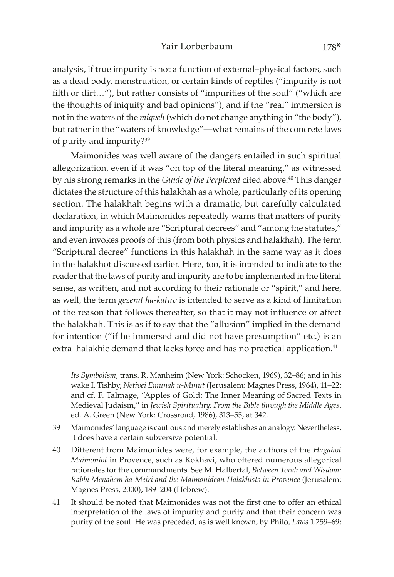analysis, if true impurity is not a function of external–physical factors, such as a dead body, menstruation, or certain kinds of reptiles ("impurity is not filth or dirt…"), but rather consists of "impurities of the soul" ("which are the thoughts of iniquity and bad opinions"), and if the "real" immersion is not in the waters of the *miqveh* (which do not change anything in "the body"), but rather in the "waters of knowledge"—what remains of the concrete laws of purity and impurity?<sup>39</sup>

Maimonides was well aware of the dangers entailed in such spiritual allegorization, even if it was "on top of the literal meaning," as witnessed by his strong remarks in the *Guide of the Perplexed* cited above.<sup>40</sup> This danger dictates the structure of this halakhah as a whole, particularly of its opening section. The halakhah begins with a dramatic, but carefully calculated declaration, in which Maimonides repeatedly warns that matters of purity and impurity as a whole are "Scriptural decrees" and "among the statutes," and even invokes proofs of this (from both physics and halakhah). The term "Scriptural decree" functions in this halakhah in the same way as it does in the halakhot discussed earlier. Here, too, it is intended to indicate to the reader that the laws of purity and impurity are to be implemented in the literal sense, as written, and not according to their rationale or "spirit," and here, as well, the term *gezerat ha-katuv* is intended to serve as a kind of limitation of the reason that follows thereafter, so that it may not influence or affect the halakhah. This is as if to say that the "allusion" implied in the demand for intention ("if he immersed and did not have presumption" etc.) is an extra–halakhic demand that lacks force and has no practical application.<sup>41</sup>

*Its Symbolism,* trans. R. Manheim (New York: Schocken, 1969), 32–86; and in his wake I. Tishby, *Netivei Emunah u-Minut* (Jerusalem: Magnes Press, 1964), 11–22; and cf. F. Talmage, "Apples of Gold: The Inner Meaning of Sacred Texts in Medieval Judaism," in *Jewish Spirituality: From the Bible through the Middle Ages*, ed. A. Green (New York: Crossroad, 1986), 313–55, at 342.

- 39 Maimonides' language is cautious and merely establishes an analogy. Nevertheless, it does have a certain subversive potential.
- 40 Different from Maimonides were, for example, the authors of the *Hagahot Maimoniot* in Provence, such as Kokhavi, who offered numerous allegorical rationales for the commandments. See M. Halbertal, *Between Torah and Wisdom: Rabbi Menahem ha-Meiri and the Maimonidean Halakhists in Provence* (Jerusalem: Magnes Press, 2000), 189–204 (Hebrew).
- 41 It should be noted that Maimonides was not the first one to offer an ethical interpretation of the laws of impurity and purity and that their concern was purity of the soul. He was preceded, as is well known, by Philo, *Laws* 1.259–69;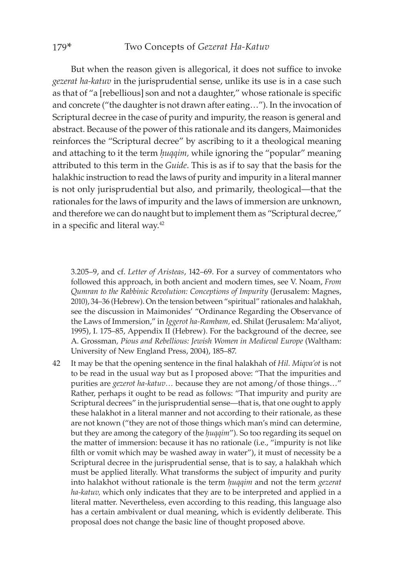But when the reason given is allegorical, it does not suffice to invoke *gezerat ha-katuv* in the jurisprudential sense, unlike its use is in a case such as that of "a [rebellious] son and not a daughter," whose rationale is specific and concrete ("the daughter is not drawn after eating…"). In the invocation of Scriptural decree in the case of purity and impurity, the reason is general and abstract. Because of the power of this rationale and its dangers, Maimonides reinforces the "Scriptural decree" by ascribing to it a theological meaning and attaching to it the term *huqqim*, while ignoring the "popular" meaning attributed to this term in the *Guide*. This is as if to say that the basis for the halakhic instruction to read the laws of purity and impurity in a literal manner is not only jurisprudential but also, and primarily, theological—that the rationales for the laws of impurity and the laws of immersion are unknown, and therefore we can do naught but to implement them as "Scriptural decree," in a specific and literal way.<sup>42</sup>

3.205–9, and cf. *Letter of Aristeas*, 142–69. For a survey of commentators who followed this approach, in both ancient and modern times, see V. Noam, *From Qumran to the Rabbinic Revolution: Conceptions of Impurity* (Jerusalem: Magnes, 2010), 34–36 (Hebrew). On the tension between "spiritual" rationales and halakhah, see the discussion in Maimonides' "Ordinance Regarding the Observance of the Laws of Immersion," in *Iggerot ha-Rambam,* ed. Shilat (Jerusalem: Ma'aliyot, 1995), I. 175–85, Appendix II (Hebrew). For the background of the decree, see A. Grossman*, Pious and Rebellious: Jewish Women in Medieval Europe* (Waltham: University of New England Press, 2004), 185–87.

42 It may be that the opening sentence in the final halakhah of *Hil. Miqva'ot* is not to be read in the usual way but as I proposed above: "That the impurities and purities are *gezerot ha-katuv…* because they are not among/of those things…" Rather, perhaps it ought to be read as follows: "That impurity and purity are Scriptural decrees" in the jurisprudential sense—that is, that one ought to apply these halakhot in a literal manner and not according to their rationale, as these are not known ("they are not of those things which man's mind can determine, but they are among the category of the *huqqim*"). So too regarding its sequel on the matter of immersion: because it has no rationale (i.e., "impurity is not like filth or vomit which may be washed away in water"), it must of necessity be a Scriptural decree in the jurisprudential sense, that is to say, a halakhah which must be applied literally. What transforms the subject of impurity and purity into halakhot without rationale is the term *huqqim* and not the term *gezerat ha-katuv,* which only indicates that they are to be interpreted and applied in a literal matter. Nevertheless, even according to this reading, this language also has a certain ambivalent or dual meaning, which is evidently deliberate. This proposal does not change the basic line of thought proposed above.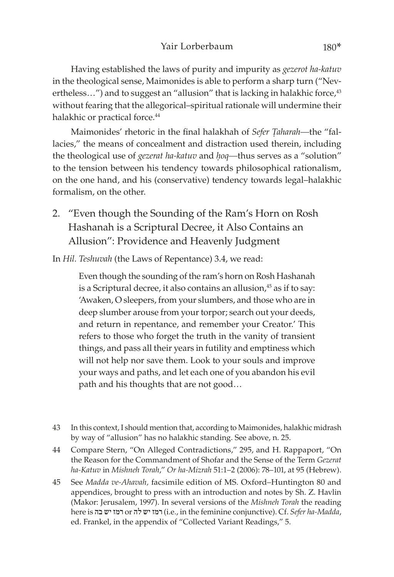Having established the laws of purity and impurity as *gezerot ha-katuv* in the theological sense, Maimonides is able to perform a sharp turn ("Nevertheless...") and to suggest an "allusion" that is lacking in halakhic force,<sup>43</sup> without fearing that the allegorical–spiritual rationale will undermine their halakhic or practical force.<sup>44</sup>

Maimonides' rhetoric in the final halakhah of *Sefer Taharah*—the "fallacies," the means of concealment and distraction used therein, including the theological use of *gezerat ha-katuv* and *hoq*—thus serves as a "solution" to the tension between his tendency towards philosophical rationalism, on the one hand, and his (conservative) tendency towards legal–halakhic formalism, on the other.

2. "Even though the Sounding of the Ram's Horn on Rosh Hashanah is a Scriptural Decree, it Also Contains an Allusion": Providence and Heavenly Judgment

In *Hil. Teshuvah* (the Laws of Repentance) 3.4, we read:

Even though the sounding of the ram's horn on Rosh Hashanah is a Scriptural decree, it also contains an allusion,<sup>45</sup> as if to say: 'Awaken, O sleepers, from your slumbers, and those who are in deep slumber arouse from your torpor; search out your deeds, and return in repentance, and remember your Creator.' This refers to those who forget the truth in the vanity of transient things, and pass all their years in futility and emptiness which will not help nor save them. Look to your souls and improve your ways and paths, and let each one of you abandon his evil path and his thoughts that are not good…

- 43 In this context, I should mention that, according to Maimonides, halakhic midrash by way of "allusion" has no halakhic standing. See above, n. 25.
- 44 Compare Stern, "On Alleged Contradictions," 295, and H. Rappaport, "On the Reason for the Commandment of Shofar and the Sense of the Term *Gezerat ha-Katuv* in *Mishneh Torah*," *Or ha-Mizrah* 51:1–2 (2006): 78–101, at 95 (Hebrew).
- 45 See *Madda ve-Ahavah,* facsimile edition of MS. Oxford–Huntington 80 and appendices, brought to press with an introduction and notes by Sh. Z. Havlin (Makor: Jerusalem, 1997). In several versions of the *Mishneh Torah* the reading here is בה יש רמז or לה יש רמז) i.e., in the feminine conjunctive). Cf. *Sefer ha-Madda*, ed. Frankel, in the appendix of "Collected Variant Readings," 5.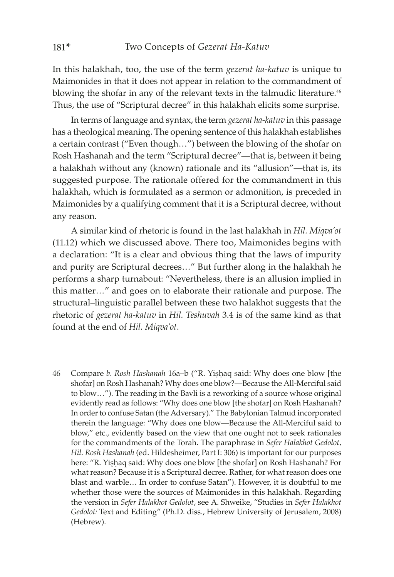In this halakhah, too, the use of the term *gezerat ha-katuv* is unique to Maimonides in that it does not appear in relation to the commandment of blowing the shofar in any of the relevant texts in the talmudic literature.<sup>46</sup> Thus, the use of "Scriptural decree" in this halakhah elicits some surprise.

In terms of language and syntax, the term *gezerat ha-katuv* in this passage has a theological meaning. The opening sentence of this halakhah establishes a certain contrast ("Even though…") between the blowing of the shofar on Rosh Hashanah and the term "Scriptural decree"—that is, between it being a halakhah without any (known) rationale and its "allusion"—that is, its suggested purpose. The rationale offered for the commandment in this halakhah, which is formulated as a sermon or admonition, is preceded in Maimonides by a qualifying comment that it is a Scriptural decree, without any reason.

A similar kind of rhetoric is found in the last halakhah in *Hil. Miqva'ot* (11.12) which we discussed above. There too, Maimonides begins with a declaration: "It is a clear and obvious thing that the laws of impurity and purity are Scriptural decrees…" But further along in the halakhah he performs a sharp turnabout: "Nevertheless, there is an allusion implied in this matter…" and goes on to elaborate their rationale and purpose. The structural–linguistic parallel between these two halakhot suggests that the rhetoric of *gezerat ha-katuv* in *Hil. Teshuvah* 3.4 is of the same kind as that found at the end of *Hil. Miqva'ot*.

46 Compare *b. Rosh Hashanah* 16a–b ("R. Yiúêaq said: Why does one blow [the shofar] on Rosh Hashanah? Why does one blow?—Because the All-Merciful said to blow…"). The reading in the Bavli is a reworking of a source whose original evidently read as follows: "Why does one blow [the shofar] on Rosh Hashanah? In order to confuse Satan (the Adversary)." The Babylonian Talmud incorporated therein the language: "Why does one blow—Because the All-Merciful said to blow," etc., evidently based on the view that one ought not to seek rationales for the commandments of the Torah. The paraphrase in *Sefer Halakhot Gedolot, Hil. Rosh Hashanah* (ed. Hildesheimer, Part I: 306) is important for our purposes here: "R. Yishaq said: Why does one blow [the shofar] on Rosh Hashanah? For what reason? Because it is a Scriptural decree. Rather, for what reason does one blast and warble… In order to confuse Satan"). However, it is doubtful to me whether those were the sources of Maimonides in this halakhah. Regarding the version in *Sefer Halakhot Gedolot*, see A. Shweike, "Studies in *Sefer Halakhot Gedolot:* Text and Editing" (Ph.D. diss., Hebrew University of Jerusalem, 2008) (Hebrew).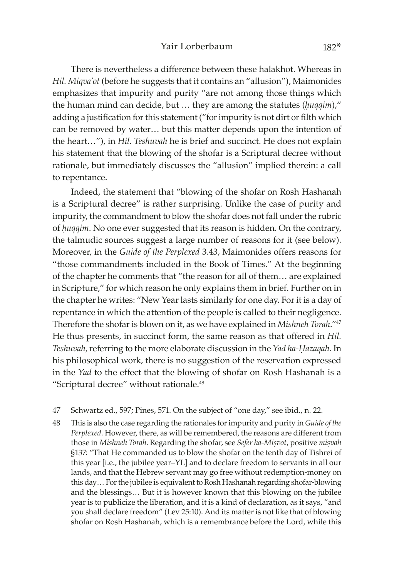There is nevertheless a difference between these halakhot. Whereas in *Hil. Miqva'ot* (before he suggests that it contains an "allusion"), Maimonides emphasizes that impurity and purity "are not among those things which the human mind can decide, but ... they are among the statutes (*huqqim*)," adding a justification for this statement ("for impurity is not dirt or filth which can be removed by water… but this matter depends upon the intention of the heart…"), in *Hil. Teshuvah* he is brief and succinct. He does not explain his statement that the blowing of the shofar is a Scriptural decree without rationale, but immediately discusses the "allusion" implied therein: a call to repentance.

Indeed, the statement that "blowing of the shofar on Rosh Hashanah is a Scriptural decree" is rather surprising. Unlike the case of purity and impurity, the commandment to blow the shofar does not fall under the rubric of *huqqim*. No one ever suggested that its reason is hidden. On the contrary, the talmudic sources suggest a large number of reasons for it (see below). Moreover, in the *Guide of the Perplexed* 3.43, Maimonides offers reasons for "those commandments included in the Book of Times." At the beginning of the chapter he comments that "the reason for all of them… are explained in Scripture," for which reason he only explains them in brief. Further on in the chapter he writes: "New Year lasts similarly for one day. For it is a day of repentance in which the attention of the people is called to their negligence. Therefore the shofar is blown on it, as we have explained in *Mishneh Torah*."47 He thus presents, in succinct form, the same reason as that offered in *Hil. Teshuvah,* referring to the more elaborate discussion in the *Yad ha-Êazaqah*. In his philosophical work, there is no suggestion of the reservation expressed in the *Yad* to the effect that the blowing of shofar on Rosh Hashanah is a "Scriptural decree" without rationale.<sup>48</sup>

- 47 Schwartz ed., 597; Pines, 571. On the subject of "one day," see ibid., n. 22.
- 48 This is also the case regarding the rationales for impurity and purity in *Guide of the Perplexed*. However, there, as will be remembered, the reasons are different from those in *Mishneh Torah*. Regarding the shofar, see *Sefer ha-Misvot*, positive *misvah* §137: "That He commanded us to blow the shofar on the tenth day of Tishrei of this year [i.e., the jubilee year–YL] and to declare freedom to servants in all our lands, and that the Hebrew servant may go free without redemption-money on this day… For the jubilee is equivalent to Rosh Hashanah regarding shofar-blowing and the blessings… But it is however known that this blowing on the jubilee year is to publicize the liberation, and it is a kind of declaration, as it says, "and you shall declare freedom" (Lev 25:10). And its matter is not like that of blowing shofar on Rosh Hashanah, which is a remembrance before the Lord, while this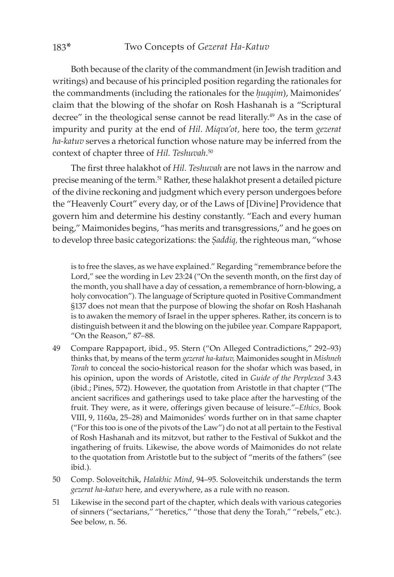Both because of the clarity of the commandment (in Jewish tradition and writings) and because of his principled position regarding the rationales for the commandments (including the rationales for the *huqqim*), Maimonides' claim that the blowing of the shofar on Rosh Hashanah is a "Scriptural decree" in the theological sense cannot be read literally.<sup>49</sup> As in the case of impurity and purity at the end of *Hil. Miqva'ot,* here too, the term *gezerat ha-katuv* serves a rhetorical function whose nature may be inferred from the context of chapter three of *Hil. Teshuvah*. 50

The first three halakhot of *Hil. Teshuvah* are not laws in the narrow and precise meaning of the term.51 Rather, these halakhot present a detailed picture of the divine reckoning and judgment which every person undergoes before the "Heavenly Court" every day, or of the Laws of [Divine] Providence that govern him and determine his destiny constantly. "Each and every human being," Maimonides begins, "has merits and transgressions," and he goes on to develop three basic categorizations: the *Saddiq*, the righteous man, "whose

is to free the slaves, as we have explained." Regarding "remembrance before the Lord," see the wording in Lev 23:24 ("On the seventh month, on the first day of the month, you shall have a day of cessation, a remembrance of horn-blowing, a holy convocation"). The language of Scripture quoted in Positive Commandment §137 does not mean that the purpose of blowing the shofar on Rosh Hashanah is to awaken the memory of Israel in the upper spheres. Rather, its concern is to distinguish between it and the blowing on the jubilee year. Compare Rappaport, "On the Reason," 87–88.

- 49 Compare Rappaport, ibid., 95. Stern ("On Alleged Contradictions," 292–93) thinks that, by means of the term *gezerat ha-katuv,* Maimonides sought in *Mishneh Torah* to conceal the socio-historical reason for the shofar which was based, in his opinion, upon the words of Aristotle, cited in *Guide of the Perplexed* 3.43 (ibid.; Pines, 572). However, the quotation from Aristotle in that chapter ("The ancient sacrifices and gatherings used to take place after the harvesting of the fruit. They were, as it were, offerings given because of leisure."–*Ethics,* Book VIII, 9, 1160a, 25–28) and Maimonides' words further on in that same chapter ("For this too is one of the pivots of the Law") do not at all pertain to the Festival of Rosh Hashanah and its mitzvot, but rather to the Festival of Sukkot and the ingathering of fruits. Likewise, the above words of Maimonides do not relate to the quotation from Aristotle but to the subject of "merits of the fathers" (see ibid.).
- 50 Comp. Soloveitchik, *Halakhic Mind*, 94–95. Soloveitchik understands the term *gezerat ha-katuv* here, and everywhere, as a rule with no reason.
- 51 Likewise in the second part of the chapter, which deals with various categories of sinners ("sectarians," "heretics," "those that deny the Torah," "rebels," etc.). See below, n. 56.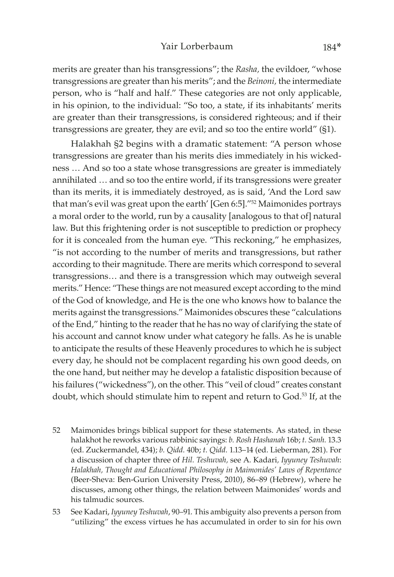## Yair Lorberbaum 184\*

merits are greater than his transgressions"; the *Rasha,* the evildoer, "whose transgressions are greater than his merits"; and the *Beinoni,* the intermediate person, who is "half and half." These categories are not only applicable, in his opinion, to the individual: "So too, a state, if its inhabitants' merits are greater than their transgressions, is considered righteous; and if their transgressions are greater, they are evil; and so too the entire world" (§1).

Halakhah §2 begins with a dramatic statement: "A person whose transgressions are greater than his merits dies immediately in his wickedness … And so too a state whose transgressions are greater is immediately annihilated … and so too the entire world, if its transgressions were greater than its merits, it is immediately destroyed, as is said, 'And the Lord saw that man's evil was great upon the earth' [Gen 6:5]."<sup>52</sup> Maimonides portrays a moral order to the world, run by a causality [analogous to that of] natural law. But this frightening order is not susceptible to prediction or prophecy for it is concealed from the human eye. "This reckoning," he emphasizes, "is not according to the number of merits and transgressions, but rather according to their magnitude. There are merits which correspond to several transgressions… and there is a transgression which may outweigh several merits." Hence: "These things are not measured except according to the mind of the God of knowledge, and He is the one who knows how to balance the merits against the transgressions." Maimonides obscures these "calculations of the End," hinting to the reader that he has no way of clarifying the state of his account and cannot know under what category he falls. As he is unable to anticipate the results of these Heavenly procedures to which he is subject every day, he should not be complacent regarding his own good deeds, on the one hand, but neither may he develop a fatalistic disposition because of his failures ("wickedness"), on the other. This "veil of cloud" creates constant doubt, which should stimulate him to repent and return to God.53 If, at the

- 52 Maimonides brings biblical support for these statements. As stated, in these halakhot he reworks various rabbinic sayings: *b. Rosh Hashanah* 16b; *t. Sanh.* 13.3 (ed. Zuckermandel, 434); *b. Qidd.* 40b; *t. Qidd.* 1.13–14 (ed. Lieberman, 281). For a discussion of chapter three of *Hil. Teshuvah,* see A. Kadari*, Iyyuney Teshuvah*: *Halakhah, Thought and Educational Philosophy in Maimonides' Laws of Repentance* (Beer-Sheva: Ben-Gurion University Press, 2010), 86–89 (Hebrew), where he discusses, among other things, the relation between Maimonides' words and his talmudic sources.
- 53 See Kadari, *Iyyuney Teshuvah*, 90–91. This ambiguity also prevents a person from "utilizing" the excess virtues he has accumulated in order to sin for his own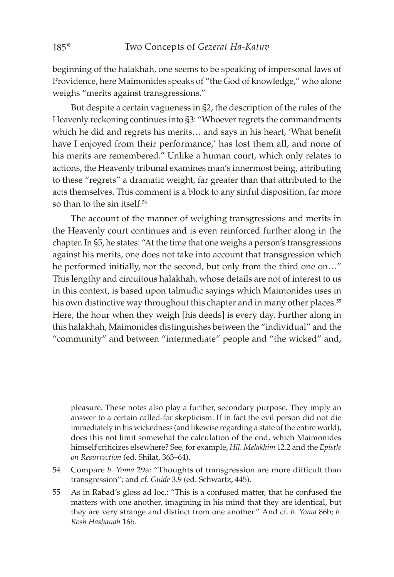beginning of the halakhah, one seems to be speaking of impersonal laws of Providence, here Maimonides speaks of "the God of knowledge," who alone weighs "merits against transgressions."

But despite a certain vagueness in §2, the description of the rules of the Heavenly reckoning continues into §3: "Whoever regrets the commandments which he did and regrets his merits… and says in his heart, 'What benefit have I enjoyed from their performance,' has lost them all, and none of his merits are remembered." Unlike a human court, which only relates to actions, the Heavenly tribunal examines man's innermost being, attributing to these "regrets" a dramatic weight, far greater than that attributed to the acts themselves. This comment is a block to any sinful disposition, far more so than to the sin itself.54

The account of the manner of weighing transgressions and merits in the Heavenly court continues and is even reinforced further along in the chapter. In §5, he states: "At the time that one weighs a person's transgressions against his merits, one does not take into account that transgression which he performed initially, nor the second, but only from the third one on…" This lengthy and circuitous halakhah, whose details are not of interest to us in this context, is based upon talmudic sayings which Maimonides uses in his own distinctive way throughout this chapter and in many other places.<sup>55</sup> Here, the hour when they weigh [his deeds] is every day. Further along in this halakhah, Maimonides distinguishes between the "individual" and the "community" and between "intermediate" people and "the wicked" and,

pleasure. These notes also play a further, secondary purpose. They imply an answer to a certain called-for skepticism: If in fact the evil person did not die immediately in his wickedness (and likewise regarding a state of the entire world), does this not limit somewhat the calculation of the end, which Maimonides himself criticizes elsewhere? See, for example, *Hil. Melakhim* 12.2 and the *Epistle on Resurrection* (ed. Shilat, 363–64).

- 54 Compare *b. Yoma* 29a: "Thoughts of transgression are more difficult than transgression"; and cf. *Guide* 3.9 (ed. Schwartz, 445).
- 55 As in Rabad's gloss ad loc.: "This is a confused matter, that he confused the matters with one another, imagining in his mind that they are identical, but they are very strange and distinct from one another." And cf. *b. Yoma* 86b; *b. Rosh Hashanah* 16b.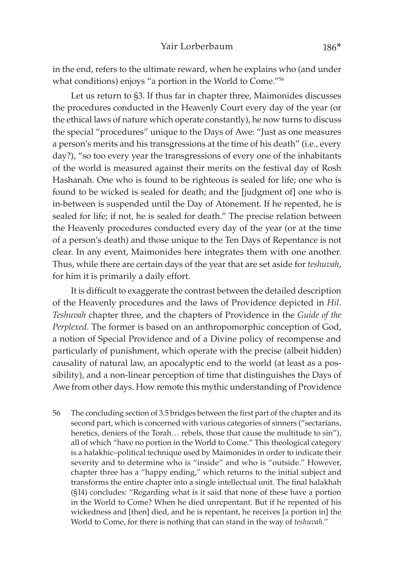in the end, refers to the ultimate reward, when he explains who (and under what conditions) enjoys "a portion in the World to Come."<sup>56</sup>

Let us return to §3. If thus far in chapter three, Maimonides discusses the procedures conducted in the Heavenly Court every day of the year (or the ethical laws of nature which operate constantly), he now turns to discuss the special "procedures" unique to the Days of Awe: "Just as one measures a person's merits and his transgressions at the time of his death" (i.e., every day?), "so too every year the transgressions of every one of the inhabitants of the world is measured against their merits on the festival day of Rosh Hashanah. One who is found to be righteous is sealed for life; one who is found to be wicked is sealed for death; and the [judgment of] one who is in-between is suspended until the Day of Atonement. If he repented, he is sealed for life; if not, he is sealed for death." The precise relation between the Heavenly procedures conducted every day of the year (or at the time of a person's death) and those unique to the Ten Days of Repentance is not clear. In any event, Maimonides here integrates them with one another. Thus, while there are certain days of the year that are set aside for *teshuvah*, for him it is primarily a daily effort.

It is difficult to exaggerate the contrast between the detailed description of the Heavenly procedures and the laws of Providence depicted in *Hil. Teshuvah* chapter three, and the chapters of Providence in the *Guide of the Perplexed.* The former is based on an anthropomorphic conception of God, a notion of Special Providence and of a Divine policy of recompense and particularly of punishment, which operate with the precise (albeit hidden) causality of natural law, an apocalyptic end to the world (at least as a possibility), and a non-linear perception of time that distinguishes the Days of Awe from other days. How remote this mythic understanding of Providence

56 The concluding section of 3.5 bridges between the first part of the chapter and its second part, which is concerned with various categories of sinners ("sectarians, heretics, deniers of the Torah... rebels, those that cause the multitude to sin"), all of which "have no portion in the World to Come." This theological category is a halakhic–political technique used by Maimonides in order to indicate their severity and to determine who is "inside" and who is "outside." However, chapter three has a "happy ending," which returns to the initial subject and transforms the entire chapter into a single intellectual unit. The final halakhah (§14) concludes: "Regarding what is it said that none of these have a portion in the World to Come? When he died unrepentant. But if he repented of his wickedness and [then] died, and he is repentant, he receives [a portion in] the World to Come, for there is nothing that can stand in the way of *teshuvah*."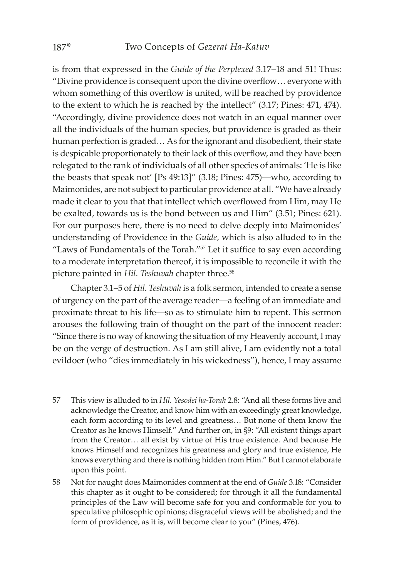is from that expressed in the *Guide of the Perplexed* 3.17–18 and 51! Thus: "Divine providence is consequent upon the divine overflow… everyone with whom something of this overflow is united, will be reached by providence to the extent to which he is reached by the intellect" (3.17; Pines: 471, 474). "Accordingly, divine providence does not watch in an equal manner over all the individuals of the human species, but providence is graded as their human perfection is graded… As for the ignorant and disobedient, their state is despicable proportionately to their lack of this overflow, and they have been relegated to the rank of individuals of all other species of animals: 'He is like the beasts that speak not' [Ps 49:13]" (3.18; Pines: 475)—who, according to Maimonides, are not subject to particular providence at all. "We have already made it clear to you that that intellect which overflowed from Him, may He be exalted, towards us is the bond between us and Him" (3.51; Pines: 621). For our purposes here, there is no need to delve deeply into Maimonides' understanding of Providence in the *Guide,* which is also alluded to in the "Laws of Fundamentals of the Torah."57 Let it suffice to say even according to a moderate interpretation thereof, it is impossible to reconcile it with the picture painted in *Hil. Teshuvah* chapter three.<sup>58</sup>

Chapter 3.1–5 of *Hil. Teshuvah* is a folk sermon, intended to create a sense of urgency on the part of the average reader—a feeling of an immediate and proximate threat to his life—so as to stimulate him to repent. This sermon arouses the following train of thought on the part of the innocent reader: "Since there is no way of knowing the situation of my Heavenly account, I may be on the verge of destruction. As I am still alive, I am evidently not a total evildoer (who "dies immediately in his wickedness"), hence, I may assume

- 57 This view is alluded to in *Hil. Yesodei ha-Torah* 2.8: "And all these forms live and acknowledge the Creator, and know him with an exceedingly great knowledge, each form according to its level and greatness… But none of them know the Creator as he knows Himself." And further on, in §9: "All existent things apart from the Creator… all exist by virtue of His true existence. And because He knows Himself and recognizes his greatness and glory and true existence, He knows everything and there is nothing hidden from Him." But I cannot elaborate upon this point.
- 58 Not for naught does Maimonides comment at the end of *Guide* 3.18: "Consider this chapter as it ought to be considered; for through it all the fundamental principles of the Law will become safe for you and conformable for you to speculative philosophic opinions; disgraceful views will be abolished; and the form of providence, as it is, will become clear to you" (Pines, 476).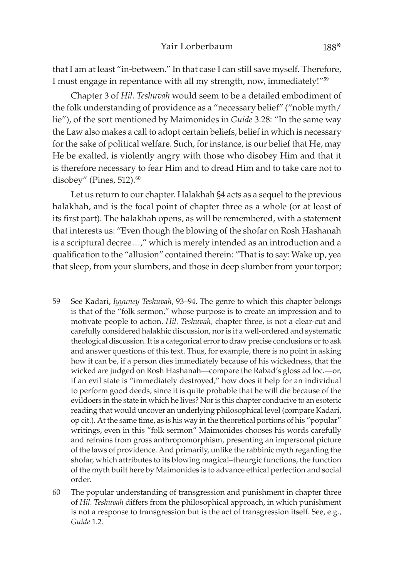that I am at least "in-between." In that case I can still save myself. Therefore, I must engage in repentance with all my strength, now, immediately!"<sup>59</sup>

Chapter 3 of *Hil. Teshuvah* would seem to be a detailed embodiment of the folk understanding of providence as a "necessary belief" ("noble myth/ lie"), of the sort mentioned by Maimonides in *Guide* 3.28: "In the same way the Law also makes a call to adopt certain beliefs, belief in which is necessary for the sake of political welfare. Such, for instance, is our belief that He, may He be exalted, is violently angry with those who disobey Him and that it is therefore necessary to fear Him and to dread Him and to take care not to disobey" (Pines, 512).<sup>60</sup>

Let us return to our chapter. Halakhah §4 acts as a sequel to the previous halakhah, and is the focal point of chapter three as a whole (or at least of its first part). The halakhah opens, as will be remembered, with a statement that interests us: "Even though the blowing of the shofar on Rosh Hashanah is a scriptural decree…," which is merely intended as an introduction and a qualification to the "allusion" contained therein: "That is to say: Wake up, yea that sleep, from your slumbers, and those in deep slumber from your torpor;

- 59 See Kadari, *Iyyuney Teshuvah*, 93–94. The genre to which this chapter belongs is that of the "folk sermon," whose purpose is to create an impression and to motivate people to action. *Hil. Teshuvah,* chapter three, is not a clear-cut and carefully considered halakhic discussion, nor is it a well-ordered and systematic theological discussion. It is a categorical error to draw precise conclusions or to ask and answer questions of this text. Thus, for example, there is no point in asking how it can be, if a person dies immediately because of his wickedness, that the wicked are judged on Rosh Hashanah—compare the Rabad's gloss ad loc.—or, if an evil state is "immediately destroyed," how does it help for an individual to perform good deeds, since it is quite probable that he will die because of the evildoers in the state in which he lives? Nor is this chapter conducive to an esoteric reading that would uncover an underlying philosophical level (compare Kadari, op cit.). At the same time, as is his way in the theoretical portions of his "popular" writings, even in this "folk sermon" Maimonides chooses his words carefully and refrains from gross anthropomorphism, presenting an impersonal picture of the laws of providence. And primarily, unlike the rabbinic myth regarding the shofar, which attributes to its blowing magical–theurgic functions, the function of the myth built here by Maimonides is to advance ethical perfection and social order.
- 60 The popular understanding of transgression and punishment in chapter three of *Hil. Teshuvah* differs from the philosophical approach, in which punishment is not a response to transgression but is the act of transgression itself. See, e.g., *Guide* 1.2.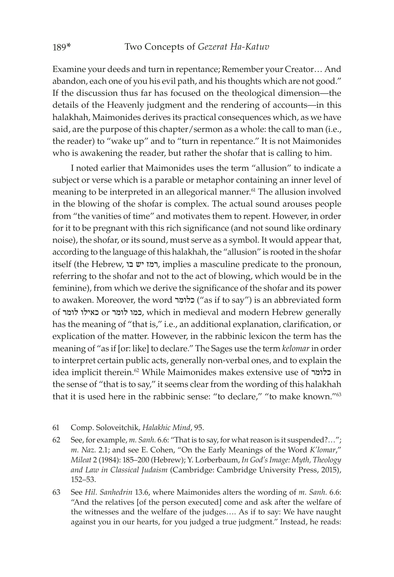Examine your deeds and turn in repentance; Remember your Creator… And abandon, each one of you his evil path, and his thoughts which are not good." If the discussion thus far has focused on the theological dimension—the details of the Heavenly judgment and the rendering of accounts—in this halakhah, Maimonides derives its practical consequences which, as we have said, are the purpose of this chapter/sermon as a whole: the call to man (i.e., the reader) to "wake up" and to "turn in repentance." It is not Maimonides who is awakening the reader, but rather the shofar that is calling to him.

I noted earlier that Maimonides uses the term "allusion" to indicate a subject or verse which is a parable or metaphor containing an inner level of meaning to be interpreted in an allegorical manner.<sup>61</sup> The allusion involved in the blowing of the shofar is complex. The actual sound arouses people from "the vanities of time" and motivates them to repent. However, in order for it to be pregnant with this rich significance (and not sound like ordinary noise), the shofar, or its sound, must serve as a symbol. It would appear that, according to the language of this halakhah, the "allusion" is rooted in the shofar itself (the Hebrew, רמז יש בו, implies a masculine predicate to the pronoun, referring to the shofar and not to the act of blowing, which would be in the feminine), from which we derive the significance of the shofar and its power to awaken. Moreover, the word כלומר") as if to say") is an abbreviated form of לומר כאילו or לומר כמו, which in medieval and modern Hebrew generally has the meaning of "that is," i.e., an additional explanation, clarification, or explication of the matter. However, in the rabbinic lexicon the term has the meaning of "as if [or: like] to declare." The Sages use the term *kelomar* in order to interpret certain public acts, generally non-verbal ones, and to explain the idea implicit therein.62 While Maimonides makes extensive use of כלומר in the sense of "that is to say," it seems clear from the wording of this halakhah that it is used here in the rabbinic sense: "to declare," "to make known."63

- 61 Comp. Soloveitchik, *Halakhic Mind*, 95.
- 62 See, for example, *m. Sanh.* 6.6: "That is to say, for what reason is it suspended?…"; *m. Naz.* 2.1; and see E. Cohen, "On the Early Meanings of the Word *K'lomar*," *Mileat* 2 (1984): 185–200 (Hebrew); Y. Lorberbaum, *In God's Image: Myth, Theology and Law in Classical Judaism* (Cambridge: Cambridge University Press, 2015), 152–53.
- 63 See *Hil. Sanhedrin* 13.6, where Maimonides alters the wording of *m. Sanh.* 6.6: "And the relatives [of the person executed] come and ask after the welfare of the witnesses and the welfare of the judges…. As if to say: We have naught against you in our hearts, for you judged a true judgment." Instead, he reads: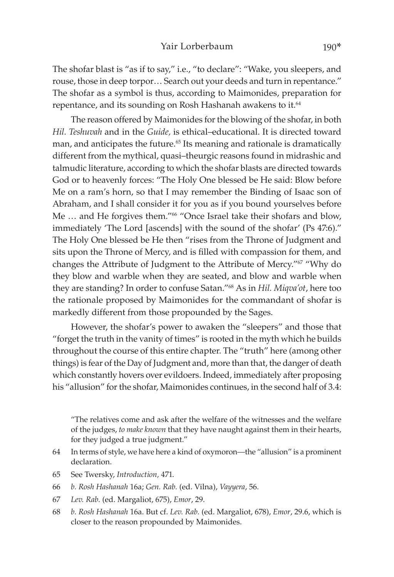#### Yair Lorberbaum 190<sup>\*</sup>

The shofar blast is "as if to say," i.e., "to declare": "Wake, you sleepers, and rouse, those in deep torpor… Search out your deeds and turn in repentance." The shofar as a symbol is thus, according to Maimonides, preparation for repentance, and its sounding on Rosh Hashanah awakens to it.<sup>64</sup>

The reason offered by Maimonides for the blowing of the shofar, in both *Hil. Teshuvah* and in the *Guide,* is ethical–educational. It is directed toward man, and anticipates the future.<sup>65</sup> Its meaning and rationale is dramatically different from the mythical, quasi–theurgic reasons found in midrashic and talmudic literature, according to which the shofar blasts are directed towards God or to heavenly forces: "The Holy One blessed be He said: Blow before Me on a ram's horn, so that I may remember the Binding of Isaac son of Abraham, and I shall consider it for you as if you bound yourselves before Me … and He forgives them."66 "Once Israel take their shofars and blow, immediately 'The Lord [ascends] with the sound of the shofar' (Ps 47:6)." The Holy One blessed be He then "rises from the Throne of Judgment and sits upon the Throne of Mercy, and is filled with compassion for them, and changes the Attribute of Judgment to the Attribute of Mercy."<sup>67</sup> "Why do they blow and warble when they are seated, and blow and warble when they are standing? In order to confuse Satan."68 As in *Hil. Miqva'ot*, here too the rationale proposed by Maimonides for the commandant of shofar is markedly different from those propounded by the Sages.

However, the shofar's power to awaken the "sleepers" and those that "forget the truth in the vanity of times" is rooted in the myth which he builds throughout the course of this entire chapter. The "truth" here (among other things) is fear of the Day of Judgment and, more than that, the danger of death which constantly hovers over evildoers. Indeed, immediately after proposing his "allusion" for the shofar, Maimonides continues, in the second half of 3.4:

"The relatives come and ask after the welfare of the witnesses and the welfare of the judges, *to make known* that they have naught against them in their hearts, for they judged a true judgment."

- 64 In terms of style, we have here a kind of oxymoron—the "allusion" is a prominent declaration.
- 65 See Twersky, *Introduction,* 471.
- 66 *b. Rosh Hashanah* 16a; *Gen. Rab.* (ed. Vilna), *Vayyera*, 56.
- 67 *Lev. Rab.* (ed. Margaliot, 675), *Emor*, 29.
- 68 *b. Rosh Hashanah* 16a. But cf. *Lev. Rab.* (ed. Margaliot, 678), *Emor*, 29.6, which is closer to the reason propounded by Maimonides.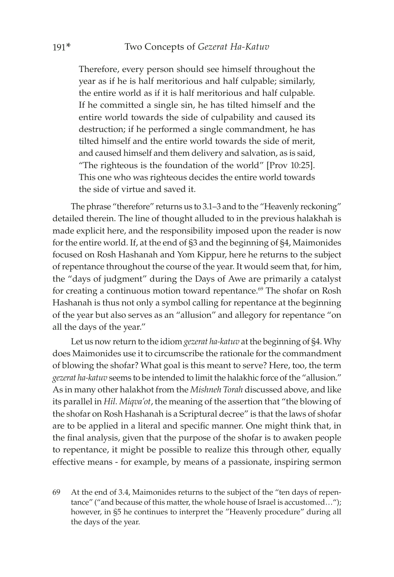Therefore, every person should see himself throughout the year as if he is half meritorious and half culpable; similarly, the entire world as if it is half meritorious and half culpable. If he committed a single sin, he has tilted himself and the entire world towards the side of culpability and caused its destruction; if he performed a single commandment, he has tilted himself and the entire world towards the side of merit, and caused himself and them delivery and salvation, as is said, "The righteous is the foundation of the world" [Prov 10:25]. This one who was righteous decides the entire world towards the side of virtue and saved it.

The phrase "therefore" returns us to 3.1–3 and to the "Heavenly reckoning" detailed therein. The line of thought alluded to in the previous halakhah is made explicit here, and the responsibility imposed upon the reader is now for the entire world. If, at the end of §3 and the beginning of §4, Maimonides focused on Rosh Hashanah and Yom Kippur, here he returns to the subject of repentance throughout the course of the year. It would seem that, for him, the "days of judgment" during the Days of Awe are primarily a catalyst for creating a continuous motion toward repentance.<sup>69</sup> The shofar on Rosh Hashanah is thus not only a symbol calling for repentance at the beginning of the year but also serves as an "allusion" and allegory for repentance "on all the days of the year."

Let us now return to the idiom *gezerat ha-katuv* at the beginning of §4. Why does Maimonides use it to circumscribe the rationale for the commandment of blowing the shofar? What goal is this meant to serve? Here, too, the term *gezerat ha-katuv* seems to be intended to limit the halakhic force of the "allusion." As in many other halakhot from the *Mishneh Torah* discussed above, and like its parallel in *Hil. Miqva'ot*, the meaning of the assertion that "the blowing of the shofar on Rosh Hashanah is a Scriptural decree" is that the laws of shofar are to be applied in a literal and specific manner. One might think that, in the final analysis, given that the purpose of the shofar is to awaken people to repentance, it might be possible to realize this through other, equally effective means - for example, by means of a passionate, inspiring sermon

69 At the end of 3.4, Maimonides returns to the subject of the "ten days of repentance" ("and because of this matter, the whole house of Israel is accustomed…"); however, in §5 he continues to interpret the "Heavenly procedure" during all the days of the year.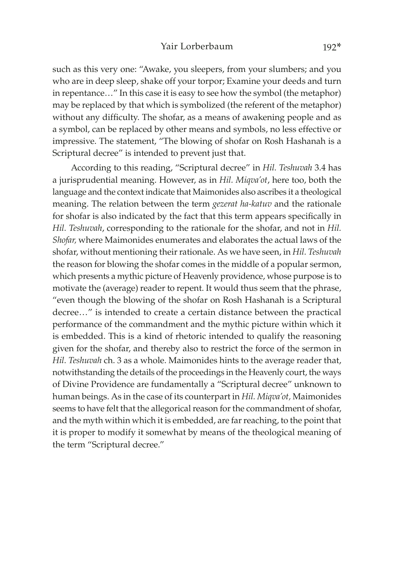#### Yair Lorberbaum 192<sup>\*</sup>

such as this very one: "Awake, you sleepers, from your slumbers; and you who are in deep sleep, shake off your torpor; Examine your deeds and turn in repentance…" In this case it is easy to see how the symbol (the metaphor) may be replaced by that which is symbolized (the referent of the metaphor) without any difficulty. The shofar, as a means of awakening people and as a symbol, can be replaced by other means and symbols, no less effective or impressive. The statement, "The blowing of shofar on Rosh Hashanah is a Scriptural decree" is intended to prevent just that.

According to this reading, "Scriptural decree" in *Hil. Teshuvah* 3.4 has a jurisprudential meaning. However, as in *Hil. Miqva'ot*, here too, both the language and the context indicate that Maimonides also ascribes it a theological meaning. The relation between the term *gezerat ha-katuv* and the rationale for shofar is also indicated by the fact that this term appears specifically in *Hil. Teshuvah*, corresponding to the rationale for the shofar, and not in *Hil. Shofar,* where Maimonides enumerates and elaborates the actual laws of the shofar, without mentioning their rationale. As we have seen, in *Hil. Teshuvah* the reason for blowing the shofar comes in the middle of a popular sermon, which presents a mythic picture of Heavenly providence, whose purpose is to motivate the (average) reader to repent. It would thus seem that the phrase, "even though the blowing of the shofar on Rosh Hashanah is a Scriptural decree…" is intended to create a certain distance between the practical performance of the commandment and the mythic picture within which it is embedded. This is a kind of rhetoric intended to qualify the reasoning given for the shofar, and thereby also to restrict the force of the sermon in *Hil. Teshuvah* ch. 3 as a whole. Maimonides hints to the average reader that, notwithstanding the details of the proceedings in the Heavenly court, the ways of Divine Providence are fundamentally a "Scriptural decree" unknown to human beings. As in the case of its counterpart in *Hil. Miqva'ot,* Maimonides seems to have felt that the allegorical reason for the commandment of shofar, and the myth within which it is embedded, are far reaching, to the point that it is proper to modify it somewhat by means of the theological meaning of the term "Scriptural decree."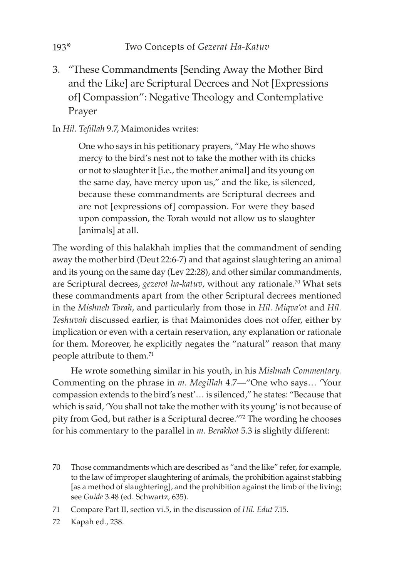3. "These Commandments [Sending Away the Mother Bird and the Like] are Scriptural Decrees and Not [Expressions of] Compassion": Negative Theology and Contemplative Prayer

## In *Hil. Tefillah* 9.7, Maimonides writes:

One who says in his petitionary prayers, "May He who shows mercy to the bird's nest not to take the mother with its chicks or not to slaughter it [i.e., the mother animal] and its young on the same day, have mercy upon us," and the like, is silenced, because these commandments are Scriptural decrees and are not [expressions of] compassion. For were they based upon compassion, the Torah would not allow us to slaughter [animals] at all.

The wording of this halakhah implies that the commandment of sending away the mother bird (Deut 22:6-7) and that against slaughtering an animal and its young on the same day (Lev 22:28), and other similar commandments, are Scriptural decrees, *gezerot ha-katuv*, without any rationale.<sup>70</sup> What sets these commandments apart from the other Scriptural decrees mentioned in the *Mishneh Torah*, and particularly from those in *Hil. Miqva'ot* and *Hil. Teshuvah* discussed earlier, is that Maimonides does not offer, either by implication or even with a certain reservation, any explanation or rationale for them. Moreover, he explicitly negates the "natural" reason that many people attribute to them.71

He wrote something similar in his youth, in his *Mishnah Commentary.*  Commenting on the phrase in *m. Megillah* 4.7—"One who says… 'Your compassion extends to the bird's nest'… is silenced," he states: "Because that which is said, 'You shall not take the mother with its young' is not because of pity from God, but rather is a Scriptural decree."72 The wording he chooses for his commentary to the parallel in *m. Berakhot* 5.3 is slightly different:

- 70 Those commandments which are described as "and the like" refer, for example, to the law of improper slaughtering of animals, the prohibition against stabbing [as a method of slaughtering], and the prohibition against the limb of the living; see *Guide* 3.48 (ed. Schwartz, 635).
- 71 Compare Part II, section vi.5, in the discussion of *Hil. Edut* 7.15.
- 72 Kapah ed., 238.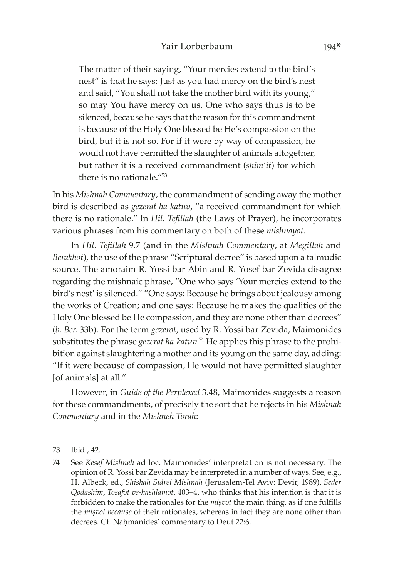The matter of their saying, "Your mercies extend to the bird's nest" is that he says: Just as you had mercy on the bird's nest and said, "You shall not take the mother bird with its young," so may You have mercy on us. One who says thus is to be silenced, because he says that the reason for this commandment is because of the Holy One blessed be He's compassion on the bird, but it is not so. For if it were by way of compassion, he would not have permitted the slaughter of animals altogether, but rather it is a received commandment (*shim'it*) for which there is no rationale."73

In his *Mishnah Commentary*, the commandment of sending away the mother bird is described as *gezerat ha-katuv*, "a received commandment for which there is no rationale." In *Hil. Tefillah* (the Laws of Prayer), he incorporates various phrases from his commentary on both of these *mishnayot*.

In *Hil. Tefillah* 9.7 (and in the *Mishnah Commentary*, at *Megillah* and *Berakhot*), the use of the phrase "Scriptural decree" is based upon a talmudic source. The amoraim R. Yossi bar Abin and R. Yosef bar Zevida disagree regarding the mishnaic phrase, "One who says 'Your mercies extend to the bird's nest' is silenced." "One says: Because he brings about jealousy among the works of Creation; and one says: Because he makes the qualities of the Holy One blessed be He compassion, and they are none other than decrees" (*b. Ber.* 33b). For the term *gezerot*, used by R. Yossi bar Zevida, Maimonides substitutes the phrase *gezerat ha-katuv*. 74 He applies this phrase to the prohibition against slaughtering a mother and its young on the same day, adding: "If it were because of compassion, He would not have permitted slaughter [of animals] at all."

However, in *Guide of the Perplexed* 3.48, Maimonides suggests a reason for these commandments, of precisely the sort that he rejects in his *Mishnah Commentary* and in the *Mishneh Torah*:

73 Ibid., 42.

74 See *Kesef Mishneh* ad loc. Maimonides' interpretation is not necessary. The opinion of R. Yossi bar Zevida may be interpreted in a number of ways. See, e.g., H. Albeck, ed., *Shishah Sidrei Mishnah* (Jerusalem-Tel Aviv: Devir, 1989), *Seder Qodashim*, *Tosafot ve-hashlamot,* 403–4, who thinks that his intention is that it is forbidden to make the rationales for the *misvot* the main thing, as if one fulfills the *misvot because* of their rationales, whereas in fact they are none other than decrees. Cf. Nahmanides' commentary to Deut 22:6.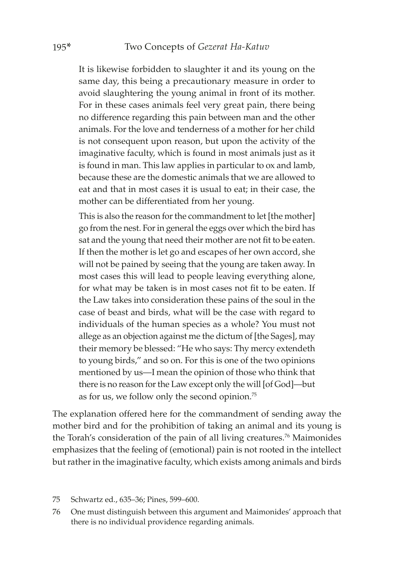It is likewise forbidden to slaughter it and its young on the same day, this being a precautionary measure in order to avoid slaughtering the young animal in front of its mother. For in these cases animals feel very great pain, there being no difference regarding this pain between man and the other animals. For the love and tenderness of a mother for her child is not consequent upon reason, but upon the activity of the imaginative faculty, which is found in most animals just as it is found in man. This law applies in particular to ox and lamb, because these are the domestic animals that we are allowed to eat and that in most cases it is usual to eat; in their case, the mother can be differentiated from her young.

This is also the reason for the commandment to let [the mother] go from the nest. For in general the eggs over which the bird has sat and the young that need their mother are not fit to be eaten. If then the mother is let go and escapes of her own accord, she will not be pained by seeing that the young are taken away. In most cases this will lead to people leaving everything alone, for what may be taken is in most cases not fit to be eaten. If the Law takes into consideration these pains of the soul in the case of beast and birds, what will be the case with regard to individuals of the human species as a whole? You must not allege as an objection against me the dictum of [the Sages], may their memory be blessed: "He who says: Thy mercy extendeth to young birds," and so on. For this is one of the two opinions mentioned by us—I mean the opinion of those who think that there is no reason for the Law except only the will [of God]—but as for us, we follow only the second opinion.<sup>75</sup>

The explanation offered here for the commandment of sending away the mother bird and for the prohibition of taking an animal and its young is the Torah's consideration of the pain of all living creatures.76 Maimonides emphasizes that the feeling of (emotional) pain is not rooted in the intellect but rather in the imaginative faculty, which exists among animals and birds

- 75 Schwartz ed., 635–36; Pines, 599–600.
- 76 One must distinguish between this argument and Maimonides' approach that there is no individual providence regarding animals.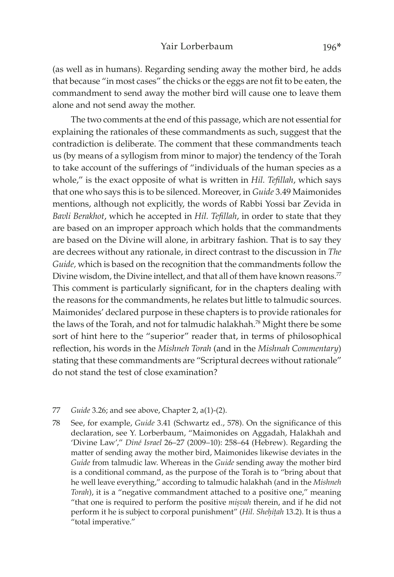(as well as in humans). Regarding sending away the mother bird, he adds that because "in most cases" the chicks or the eggs are not fit to be eaten, the commandment to send away the mother bird will cause one to leave them alone and not send away the mother.

The two comments at the end of this passage, which are not essential for explaining the rationales of these commandments as such, suggest that the contradiction is deliberate. The comment that these commandments teach us (by means of a syllogism from minor to major) the tendency of the Torah to take account of the sufferings of "individuals of the human species as a whole," is the exact opposite of what is written in *Hil. Tefillah*, which says that one who says this is to be silenced. Moreover, in *Guide* 3.49 Maimonides mentions, although not explicitly, the words of Rabbi Yossi bar Zevida in *Bavli Berakhot*, which he accepted in *Hil. Tefillah*, in order to state that they are based on an improper approach which holds that the commandments are based on the Divine will alone, in arbitrary fashion. That is to say they are decrees without any rationale, in direct contrast to the discussion in *The Guide,* which is based on the recognition that the commandments follow the Divine wisdom, the Divine intellect, and that all of them have known reasons. $77$ This comment is particularly significant, for in the chapters dealing with the reasons for the commandments, he relates but little to talmudic sources. Maimonides' declared purpose in these chapters is to provide rationales for the laws of the Torah, and not for talmudic halakhah.<sup>78</sup> Might there be some sort of hint here to the "superior" reader that, in terms of philosophical reflection, his words in the *Mishneh Torah* (and in the *Mishnah Commentary*) stating that these commandments are "Scriptural decrees without rationale" do not stand the test of close examination?

77 *Guide* 3.26; and see above, Chapter 2, a(1)-(2).

78 See, for example, *Guide* 3.41 (Schwartz ed., 578). On the significance of this declaration, see Y. Lorberbaum, "Maimonides on Aggadah, Halakhah and 'Divine Law'," *Diné Israel* 26–27 (2009–10): 258–64 (Hebrew). Regarding the matter of sending away the mother bird, Maimonides likewise deviates in the *Guide* from talmudic law. Whereas in the *Guide* sending away the mother bird is a conditional command, as the purpose of the Torah is to "bring about that he well leave everything," according to talmudic halakhah (and in the *Mishneh Torah*), it is a "negative commandment attached to a positive one," meaning "that one is required to perform the positive *mișvah* therein, and if he did not perform it he is subject to corporal punishment" (*Hil. Shehitah* 13.2). It is thus a "total imperative."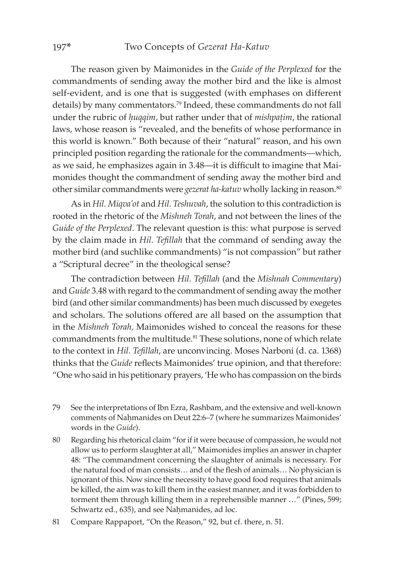The reason given by Maimonides in the *Guide of the Perplexed* for the commandments of sending away the mother bird and the like is almost self-evident, and is one that is suggested (with emphases on different details) by many commentators.<sup>79</sup> Indeed, these commandments do not fall under the rubric of *huqqim*, but rather under that of *mishpatim*, the rational laws, whose reason is "revealed, and the benefits of whose performance in this world is known." Both because of their "natural" reason, and his own principled position regarding the rationale for the commandments—which, as we said, he emphasizes again in 3.48—it is difficult to imagine that Maimonides thought the commandment of sending away the mother bird and other similar commandments were *gezerat ha-katuv* wholly lacking in reason.<sup>80</sup>

As in *Hil. Miqva'ot* and *Hil. Teshuvah*, the solution to this contradiction is rooted in the rhetoric of the *Mishneh Torah*, and not between the lines of the *Guide of the Perplexed*. The relevant question is this: what purpose is served by the claim made in *Hil. Tefillah* that the command of sending away the mother bird (and suchlike commandments) "is not compassion" but rather a "Scriptural decree" in the theological sense?

The contradiction between *Hil. Tefillah* (and the *Mishnah Commentary*) and *Guide* 3.48 with regard to the commandment of sending away the mother bird (and other similar commandments) has been much discussed by exegetes and scholars. The solutions offered are all based on the assumption that in the *Mishneh Torah,* Maimonides wished to conceal the reasons for these commandments from the multitude.<sup>81</sup> These solutions, none of which relate to the context in *Hil. Tefillah*, are unconvincing. Moses Narboni (d. ca. 1368) thinks that the *Guide* reflects Maimonides' true opinion, and that therefore: "One who said in his petitionary prayers, 'He who has compassion on the birds

- 79 See the interpretations of Ibn Ezra, Rashbam, and the extensive and well-known comments of Nahmanides on Deut 22:6-7 (where he summarizes Maimonides' words in the *Guide*).
- 80 Regarding his rhetorical claim "for if it were because of compassion, he would not allow us to perform slaughter at all," Maimonides implies an answer in chapter 48: "The commandment concerning the slaughter of animals is necessary. For the natural food of man consists… and of the flesh of animals… No physician is ignorant of this. Now since the necessity to have good food requires that animals be killed, the aim was to kill them in the easiest manner, and it was forbidden to torment them through killing them in a reprehensible manner …" (Pines, 599; Schwartz ed., 635), and see Nahmanides, ad loc.
- 81 Compare Rappaport, "On the Reason," 92, but cf. there, n. 51.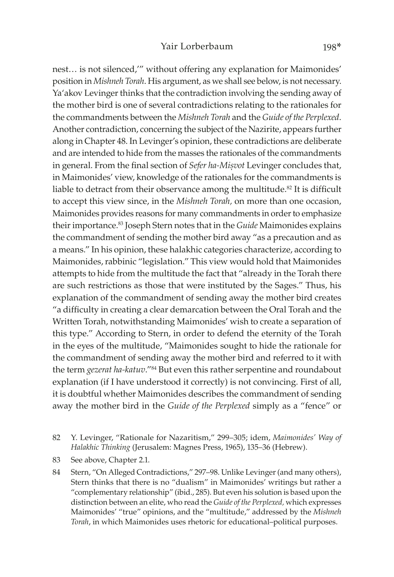### Yair Lorberbaum 198\*

nest… is not silenced,'" without offering any explanation for Maimonides' position in *Mishneh Torah*. His argument, as we shall see below, is not necessary. Ya'akov Levinger thinks that the contradiction involving the sending away of the mother bird is one of several contradictions relating to the rationales for the commandments between the *Mishneh Torah* and the *Guide of the Perplexed*. Another contradiction, concerning the subject of the Nazirite, appears further along in Chapter 48. In Levinger's opinion, these contradictions are deliberate and are intended to hide from the masses the rationales of the commandments in general. From the final section of *Sefer ha-Misvot* Levinger concludes that, in Maimonides' view, knowledge of the rationales for the commandments is liable to detract from their observance among the multitude.<sup>82</sup> It is difficult to accept this view since, in the *Mishneh Torah,* on more than one occasion, Maimonides provides reasons for many commandments in order to emphasize their importance.83 Joseph Stern notes that in the *Guide* Maimonides explains the commandment of sending the mother bird away "as a precaution and as a means." In his opinion, these halakhic categories characterize, according to Maimonides, rabbinic "legislation." This view would hold that Maimonides attempts to hide from the multitude the fact that "already in the Torah there are such restrictions as those that were instituted by the Sages." Thus, his explanation of the commandment of sending away the mother bird creates "a difficulty in creating a clear demarcation between the Oral Torah and the Written Torah, notwithstanding Maimonides' wish to create a separation of this type." According to Stern, in order to defend the eternity of the Torah in the eyes of the multitude, "Maimonides sought to hide the rationale for the commandment of sending away the mother bird and referred to it with the term *gezerat ha-katuv*."84 But even this rather serpentine and roundabout explanation (if I have understood it correctly) is not convincing. First of all, it is doubtful whether Maimonides describes the commandment of sending away the mother bird in the *Guide of the Perplexed* simply as a "fence" or

- 82 Y. Levinger, "Rationale for Nazaritism," 299–305; idem, *Maimonides' Way of Halakhic Thinking* (Jerusalem: Magnes Press, 1965), 135–36 (Hebrew).
- 83 See above, Chapter 2.1.

84 Stern, "On Alleged Contradictions," 297–98. Unlike Levinger (and many others), Stern thinks that there is no "dualism" in Maimonides' writings but rather a "complementary relationship" (ibid., 285). But even his solution is based upon the distinction between an elite, who read the *Guide of the Perplexed,* which expresses Maimonides' "true" opinions, and the "multitude," addressed by the *Mishneh Torah*, in which Maimonides uses rhetoric for educational–political purposes.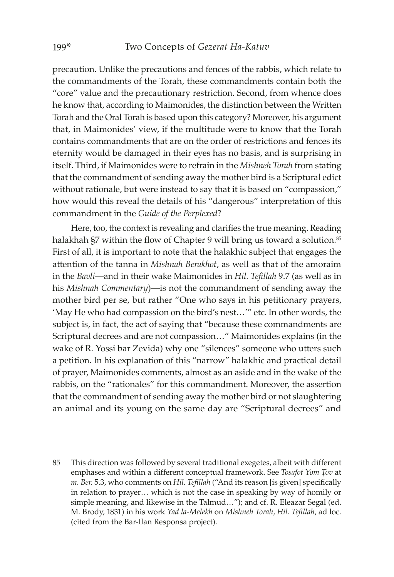precaution. Unlike the precautions and fences of the rabbis, which relate to the commandments of the Torah, these commandments contain both the "core" value and the precautionary restriction. Second, from whence does he know that, according to Maimonides, the distinction between the Written Torah and the Oral Torah is based upon this category? Moreover, his argument that, in Maimonides' view, if the multitude were to know that the Torah contains commandments that are on the order of restrictions and fences its eternity would be damaged in their eyes has no basis, and is surprising in itself. Third, if Maimonides were to refrain in the *Mishneh Torah* from stating that the commandment of sending away the mother bird is a Scriptural edict without rationale, but were instead to say that it is based on "compassion," how would this reveal the details of his "dangerous" interpretation of this commandment in the *Guide of the Perplexed*?

Here, too, the context is revealing and clarifies the true meaning. Reading halakhah §7 within the flow of Chapter 9 will bring us toward a solution.<sup>85</sup> First of all, it is important to note that the halakhic subject that engages the attention of the tanna in *Mishnah Berakhot*, as well as that of the amoraim in the *Bavli—*and in their wake Maimonides in *Hil. Tefillah* 9.7 (as well as in his *Mishnah Commentary*)—is not the commandment of sending away the mother bird per se, but rather "One who says in his petitionary prayers, 'May He who had compassion on the bird's nest…'" etc. In other words, the subject is, in fact, the act of saying that "because these commandments are Scriptural decrees and are not compassion…" Maimonides explains (in the wake of R. Yossi bar Zevida) why one "silences" someone who utters such a petition. In his explanation of this "narrow" halakhic and practical detail of prayer, Maimonides comments, almost as an aside and in the wake of the rabbis, on the "rationales" for this commandment. Moreover, the assertion that the commandment of sending away the mother bird or not slaughtering an animal and its young on the same day are "Scriptural decrees" and

85 This direction was followed by several traditional exegetes, albeit with different emphases and within a different conceptual framework. See *Tosafot Yom Tov* at *m. Ber.* 5.3, who comments on *Hil. Tefillah* ("And its reason [is given] specifically in relation to prayer… which is not the case in speaking by way of homily or simple meaning, and likewise in the Talmud…"); and cf. R. Eleazar Segal (ed. M. Brody, 1831) in his work *Yad la-Melekh* on *Mishneh Torah*, *Hil. Tefillah*, ad loc. (cited from the Bar-Ilan Responsa project).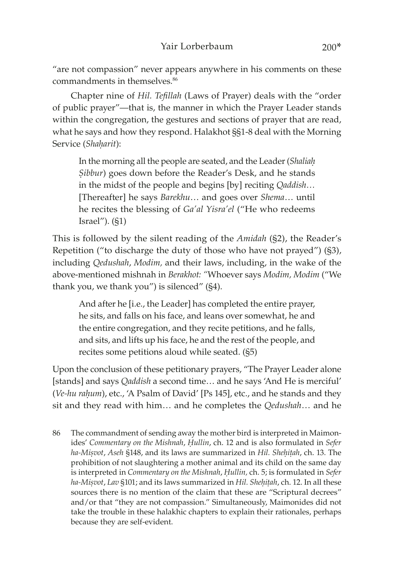"are not compassion" never appears anywhere in his comments on these commandments in themselves.<sup>86</sup>

Chapter nine of *Hil. Tefillah* (Laws of Prayer) deals with the "order of public prayer"—that is, the manner in which the Prayer Leader stands within the congregation, the gestures and sections of prayer that are read, what he says and how they respond. Halakhot §§1-8 deal with the Morning Service (Shaharit):

In the morning all the people are seated, and the Leader (*Shaliaê Sibbur*) goes down before the Reader's Desk, and he stands in the midst of the people and begins [by] reciting *Qaddish…*  [Thereafter] he says *Barekhu*… and goes over *Shema*… until he recites the blessing of *Ga'al Yisra'el* ("He who redeems Israel"). (§1)

This is followed by the silent reading of the *Amidah* (§2), the Reader's Repetition ("to discharge the duty of those who have not prayed") (§3), including *Qedushah*, *Modim,* and their laws, including, in the wake of the above-mentioned mishnah in *Berakhot: "*Whoever says *Modim, Modim* ("We thank you, we thank you") is silenced" (§4).

And after he [i.e., the Leader] has completed the entire prayer, he sits, and falls on his face, and leans over somewhat, he and the entire congregation, and they recite petitions, and he falls, and sits, and lifts up his face, he and the rest of the people, and recites some petitions aloud while seated. (§5)

Upon the conclusion of these petitionary prayers, "The Prayer Leader alone [stands] and says *Qaddish* a second time… and he says 'And He is merciful' (*Ve-hu raêum*), etc., 'A Psalm of David' [Ps 145], etc., and he stands and they sit and they read with him… and he completes the *Qedushah*… and he

86 The commandment of sending away the mother bird is interpreted in Maimonides' *Commentary on the Mishnah*, *Êullin*, ch. 12 and is also formulated in *Sefer ha-Miúvot*, *Aseh* §148, and its laws are summarized in *Hil. Sheêiûah*, ch. 13. The prohibition of not slaughtering a mother animal and its child on the same day is interpreted in *Commentary on the Mishnah*, *Êullin,* ch. 5; is formulated in *Sefer*  ha-Misvot, Lav §101; and its laws summarized in *Hil. Shehitah*, ch. 12. In all these sources there is no mention of the claim that these are "Scriptural decrees" and/or that "they are not compassion." Simultaneously, Maimonides did not take the trouble in these halakhic chapters to explain their rationales, perhaps because they are self-evident.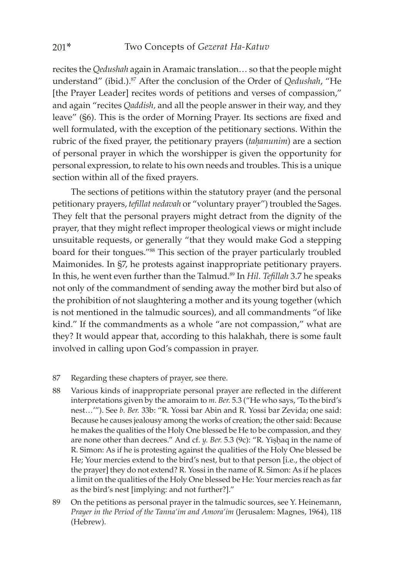recites the *Qedushah* again in Aramaic translation… so that the people might understand" (ibid.).87 After the conclusion of the Order of *Qedushah*, "He [the Prayer Leader] recites words of petitions and verses of compassion," and again "recites *Qaddish,* and all the people answer in their way, and they leave" (§6). This is the order of Morning Prayer. Its sections are fixed and well formulated, with the exception of the petitionary sections. Within the rubric of the fixed prayer, the petitionary prayers (*tahanunim*) are a section of personal prayer in which the worshipper is given the opportunity for personal expression, to relate to his own needs and troubles. This is a unique section within all of the fixed prayers.

The sections of petitions within the statutory prayer (and the personal petitionary prayers, *tefillat nedavah* or "voluntary prayer") troubled the Sages. They felt that the personal prayers might detract from the dignity of the prayer, that they might reflect improper theological views or might include unsuitable requests, or generally "that they would make God a stepping board for their tongues."<sup>88</sup> This section of the prayer particularly troubled Maimonides. In §7, he protests against inappropriate petitionary prayers. In this, he went even further than the Talmud.<sup>89</sup> In *Hil. Tefillah* 3.7 he speaks not only of the commandment of sending away the mother bird but also of the prohibition of not slaughtering a mother and its young together (which is not mentioned in the talmudic sources), and all commandments "of like kind." If the commandments as a whole "are not compassion," what are they? It would appear that, according to this halakhah, there is some fault involved in calling upon God's compassion in prayer.

- 87 Regarding these chapters of prayer, see there.
- 88 Various kinds of inappropriate personal prayer are reflected in the different interpretations given by the amoraim to *m. Ber.* 5.3 ("He who says, 'To the bird's nest…'"). See *b. Ber.* 33b: "R. Yossi bar Abin and R. Yossi bar Zevida; one said: Because he causes jealousy among the works of creation; the other said: Because he makes the qualities of the Holy One blessed be He to be compassion, and they are none other than decrees." And cf. *y*. *Ber.* 5.3 (9c): "R. Yishaq in the name of R. Simon: As if he is protesting against the qualities of the Holy One blessed be He; Your mercies extend to the bird's nest, but to that person [i.e., the object of the prayer] they do not extend? R. Yossi in the name of R. Simon: As if he places a limit on the qualities of the Holy One blessed be He: Your mercies reach as far as the bird's nest [implying: and not further?]."
- 89 On the petitions as personal prayer in the talmudic sources, see Y. Heinemann, *Prayer in the Period of the Tanna'im and Amora'im* (Jerusalem: Magnes, 1964), 118 (Hebrew).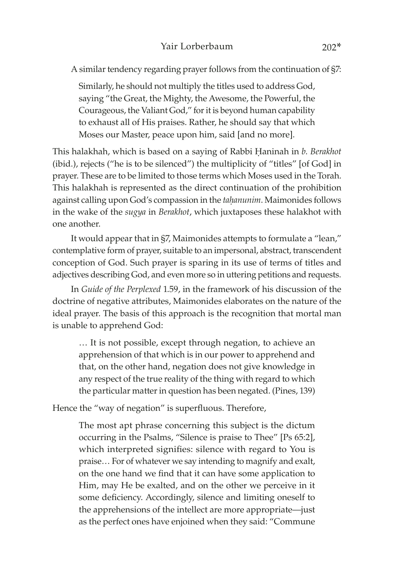A similar tendency regarding prayer follows from the continuation of §7:

Similarly, he should not multiply the titles used to address God, saying "the Great, the Mighty, the Awesome, the Powerful, the Courageous, the Valiant God," for it is beyond human capability to exhaust all of His praises. Rather, he should say that which Moses our Master, peace upon him, said [and no more].

This halakhah, which is based on a saying of Rabbi Haninah in *b. Berakhot* (ibid.), rejects ("he is to be silenced") the multiplicity of "titles" [of God] in prayer. These are to be limited to those terms which Moses used in the Torah. This halakhah is represented as the direct continuation of the prohibition against calling upon God's compassion in the *tahanunim*. Maimonides follows in the wake of the *sugya* in *Berakhot*, which juxtaposes these halakhot with one another.

It would appear that in §7, Maimonides attempts to formulate a "lean," contemplative form of prayer, suitable to an impersonal, abstract, transcendent conception of God. Such prayer is sparing in its use of terms of titles and adjectives describing God, and even more so in uttering petitions and requests.

In *Guide of the Perplexed* 1.59, in the framework of his discussion of the doctrine of negative attributes, Maimonides elaborates on the nature of the ideal prayer. The basis of this approach is the recognition that mortal man is unable to apprehend God:

… It is not possible, except through negation, to achieve an apprehension of that which is in our power to apprehend and that, on the other hand, negation does not give knowledge in any respect of the true reality of the thing with regard to which the particular matter in question has been negated. (Pines, 139)

Hence the "way of negation" is superfluous. Therefore,

The most apt phrase concerning this subject is the dictum occurring in the Psalms, "Silence is praise to Thee" [Ps 65:2], which interpreted signifies: silence with regard to You is praise… For of whatever we say intending to magnify and exalt, on the one hand we find that it can have some application to Him, may He be exalted, and on the other we perceive in it some deficiency. Accordingly, silence and limiting oneself to the apprehensions of the intellect are more appropriate—just as the perfect ones have enjoined when they said: "Commune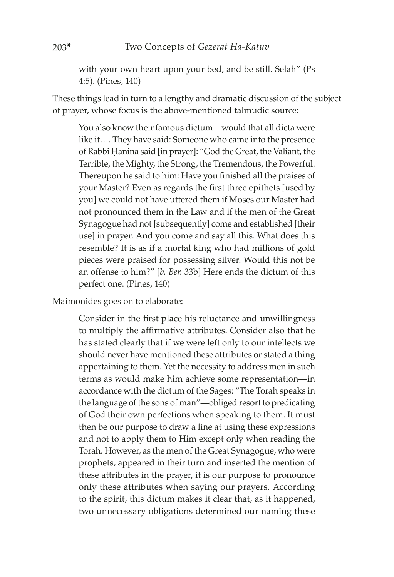with your own heart upon your bed, and be still. Selah" (Ps 4:5). (Pines, 140)

These things lead in turn to a lengthy and dramatic discussion of the subject of prayer, whose focus is the above-mentioned talmudic source:

You also know their famous dictum—would that all dicta were like it…. They have said: Someone who came into the presence of Rabbi Hanina said [in prayer]: "God the Great, the Valiant, the Terrible, the Mighty, the Strong, the Tremendous, the Powerful. Thereupon he said to him: Have you finished all the praises of your Master? Even as regards the first three epithets [used by you] we could not have uttered them if Moses our Master had not pronounced them in the Law and if the men of the Great Synagogue had not [subsequently] come and established [their use] in prayer. And you come and say all this. What does this resemble? It is as if a mortal king who had millions of gold pieces were praised for possessing silver. Would this not be an offense to him?" [*b. Ber.* 33b] Here ends the dictum of this perfect one. (Pines, 140)

Maimonides goes on to elaborate:

Consider in the first place his reluctance and unwillingness to multiply the affirmative attributes. Consider also that he has stated clearly that if we were left only to our intellects we should never have mentioned these attributes or stated a thing appertaining to them. Yet the necessity to address men in such terms as would make him achieve some representation—in accordance with the dictum of the Sages: "The Torah speaks in the language of the sons of man"—obliged resort to predicating of God their own perfections when speaking to them. It must then be our purpose to draw a line at using these expressions and not to apply them to Him except only when reading the Torah. However, as the men of the Great Synagogue, who were prophets, appeared in their turn and inserted the mention of these attributes in the prayer, it is our purpose to pronounce only these attributes when saying our prayers. According to the spirit, this dictum makes it clear that, as it happened, two unnecessary obligations determined our naming these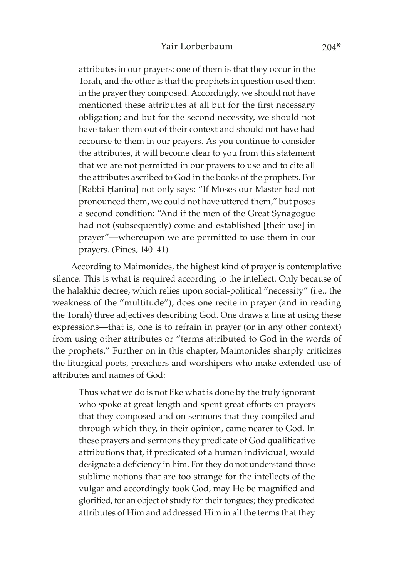attributes in our prayers: one of them is that they occur in the Torah, and the other is that the prophets in question used them in the prayer they composed. Accordingly, we should not have mentioned these attributes at all but for the first necessary obligation; and but for the second necessity, we should not have taken them out of their context and should not have had recourse to them in our prayers. As you continue to consider the attributes, it will become clear to you from this statement that we are not permitted in our prayers to use and to cite all the attributes ascribed to God in the books of the prophets. For [Rabbi Hanina] not only says: "If Moses our Master had not pronounced them, we could not have uttered them," but poses a second condition: "And if the men of the Great Synagogue had not (subsequently) come and established [their use] in prayer"—whereupon we are permitted to use them in our prayers. (Pines, 140–41)

According to Maimonides, the highest kind of prayer is contemplative silence. This is what is required according to the intellect. Only because of the halakhic decree, which relies upon social-political "necessity" (i.e., the weakness of the "multitude"), does one recite in prayer (and in reading the Torah) three adjectives describing God. One draws a line at using these expressions—that is, one is to refrain in prayer (or in any other context) from using other attributes or "terms attributed to God in the words of the prophets." Further on in this chapter, Maimonides sharply criticizes the liturgical poets, preachers and worshipers who make extended use of attributes and names of God:

Thus what we do is not like what is done by the truly ignorant who spoke at great length and spent great efforts on prayers that they composed and on sermons that they compiled and through which they, in their opinion, came nearer to God. In these prayers and sermons they predicate of God qualificative attributions that, if predicated of a human individual, would designate a deficiency in him. For they do not understand those sublime notions that are too strange for the intellects of the vulgar and accordingly took God, may He be magnified and glorified, for an object of study for their tongues; they predicated attributes of Him and addressed Him in all the terms that they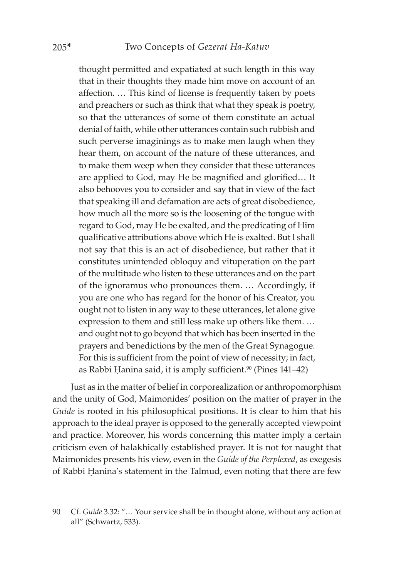thought permitted and expatiated at such length in this way that in their thoughts they made him move on account of an affection. … This kind of license is frequently taken by poets and preachers or such as think that what they speak is poetry, so that the utterances of some of them constitute an actual denial of faith, while other utterances contain such rubbish and such perverse imaginings as to make men laugh when they hear them, on account of the nature of these utterances, and to make them weep when they consider that these utterances are applied to God, may He be magnified and glorified… It also behooves you to consider and say that in view of the fact that speaking ill and defamation are acts of great disobedience, how much all the more so is the loosening of the tongue with regard to God, may He be exalted, and the predicating of Him qualificative attributions above which He is exalted. But I shall not say that this is an act of disobedience, but rather that it constitutes unintended obloquy and vituperation on the part of the multitude who listen to these utterances and on the part of the ignoramus who pronounces them. … Accordingly, if you are one who has regard for the honor of his Creator, you ought not to listen in any way to these utterances, let alone give expression to them and still less make up others like them. … and ought not to go beyond that which has been inserted in the prayers and benedictions by the men of the Great Synagogue. For this is sufficient from the point of view of necessity; in fact, as Rabbi Hanina said, it is amply sufficient.<sup>90</sup> (Pines 141–42)

Just as in the matter of belief in corporealization or anthropomorphism and the unity of God, Maimonides' position on the matter of prayer in the *Guide* is rooted in his philosophical positions. It is clear to him that his approach to the ideal prayer is opposed to the generally accepted viewpoint and practice. Moreover, his words concerning this matter imply a certain criticism even of halakhically established prayer. It is not for naught that Maimonides presents his view, even in the *Guide of the Perplexed*, as exegesis of Rabbi Hanina's statement in the Talmud, even noting that there are few

<sup>90</sup> Cf. *Guide* 3.32: "… Your service shall be in thought alone, without any action at all" (Schwartz, 533).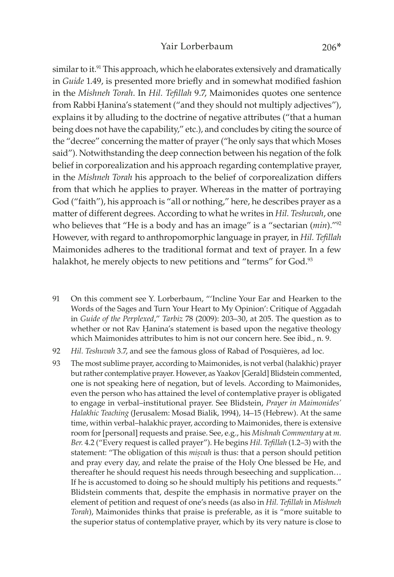similar to it.<sup>91</sup> This approach, which he elaborates extensively and dramatically in *Guide* 1.49, is presented more briefly and in somewhat modified fashion in the *Mishneh Torah*. In *Hil. Tefillah* 9.7, Maimonides quotes one sentence from Rabbi Hanina's statement ("and they should not multiply adjectives"), explains it by alluding to the doctrine of negative attributes ("that a human being does not have the capability," etc.), and concludes by citing the source of the "decree" concerning the matter of prayer ("he only says that which Moses said"). Notwithstanding the deep connection between his negation of the folk belief in corporealization and his approach regarding contemplative prayer, in the *Mishneh Torah* his approach to the belief of corporealization differs from that which he applies to prayer. Whereas in the matter of portraying God ("faith"), his approach is "all or nothing," here, he describes prayer as a matter of different degrees. According to what he writes in *Hil. Teshuvah*, one who believes that "He is a body and has an image" is a "sectarian (*min*)."92 However, with regard to anthropomorphic language in prayer, in *Hil. Tefillah* Maimonides adheres to the traditional format and text of prayer. In a few halakhot, he merely objects to new petitions and "terms" for God.<sup>93</sup>

- 91 On this comment see Y. Lorberbaum, "'Incline Your Ear and Hearken to the Words of the Sages and Turn Your Heart to My Opinion': Critique of Aggadah in *Guide of the Perplexed*," *Tarbiz* 78 (2009): 203–30, at 205. The question as to whether or not Rav Hanina's statement is based upon the negative theology which Maimonides attributes to him is not our concern here. See ibid., n. 9.
- 92 *Hil. Teshuvah* 3.7, and see the famous gloss of Rabad of Posquières, ad loc.
- 93 The most sublime prayer, according to Maimonides, is not verbal (halakhic) prayer but rather contemplative prayer. However, as Yaakov [Gerald] Blidstein commented, one is not speaking here of negation, but of levels. According to Maimonides, even the person who has attained the level of contemplative prayer is obligated to engage in verbal–institutional prayer. See Blidstein, *Prayer in Maimonides' Halakhic Teaching* (Jerusalem: Mosad Bialik, 1994), 14–15 (Hebrew). At the same time, within verbal–halakhic prayer, according to Maimonides, there is extensive room for [personal] requests and praise. See, e.g., his *Mishnah Commentary* at *m. Ber.* 4.2 ("Every request is called prayer"). He begins *Hil. Tefillah* (1.2–3) with the statement: "The obligation of this *misvah* is thus: that a person should petition and pray every day, and relate the praise of the Holy One blessed be He, and thereafter he should request his needs through beseeching and supplication… If he is accustomed to doing so he should multiply his petitions and requests." Blidstein comments that, despite the emphasis in normative prayer on the element of petition and request of one's needs (as also in *Hil. Tefillah* in *Mishneh Torah*), Maimonides thinks that praise is preferable, as it is "more suitable to the superior status of contemplative prayer, which by its very nature is close to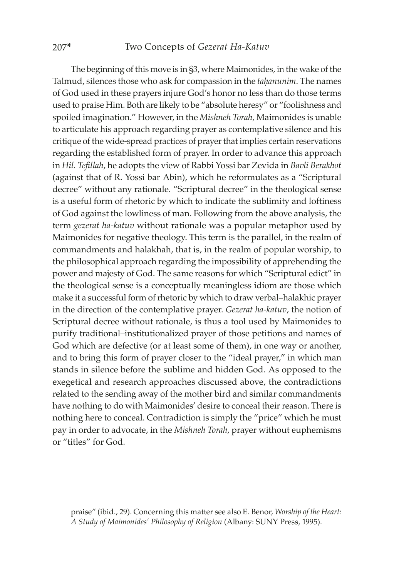The beginning of this move is in §3, where Maimonides, in the wake of the Talmud, silences those who ask for compassion in the *tahanunim*. The names of God used in these prayers injure God's honor no less than do those terms used to praise Him. Both are likely to be "absolute heresy" or "foolishness and spoiled imagination." However, in the *Mishneh Torah,* Maimonides is unable to articulate his approach regarding prayer as contemplative silence and his critique of the wide-spread practices of prayer that implies certain reservations regarding the established form of prayer. In order to advance this approach in *Hil. Tefillah*, he adopts the view of Rabbi Yossi bar Zevida in *Bavli Berakhot*  (against that of R. Yossi bar Abin), which he reformulates as a "Scriptural decree" without any rationale. "Scriptural decree" in the theological sense is a useful form of rhetoric by which to indicate the sublimity and loftiness of God against the lowliness of man. Following from the above analysis, the term *gezerat ha-katuv* without rationale was a popular metaphor used by Maimonides for negative theology. This term is the parallel, in the realm of commandments and halakhah, that is, in the realm of popular worship, to the philosophical approach regarding the impossibility of apprehending the power and majesty of God. The same reasons for which "Scriptural edict" in the theological sense is a conceptually meaningless idiom are those which make it a successful form of rhetoric by which to draw verbal–halakhic prayer in the direction of the contemplative prayer. *Gezerat ha-katuv*, the notion of Scriptural decree without rationale, is thus a tool used by Maimonides to purify traditional–institutionalized prayer of those petitions and names of God which are defective (or at least some of them), in one way or another, and to bring this form of prayer closer to the "ideal prayer," in which man stands in silence before the sublime and hidden God. As opposed to the exegetical and research approaches discussed above, the contradictions related to the sending away of the mother bird and similar commandments have nothing to do with Maimonides' desire to conceal their reason. There is nothing here to conceal. Contradiction is simply the "price" which he must pay in order to advocate, in the *Mishneh Torah,* prayer without euphemisms or "titles" for God.

praise" (ibid., 29). Concerning this matter see also E. Benor, *Worship of the Heart: A Study of Maimonides' Philosophy of Religion* (Albany: SUNY Press, 1995).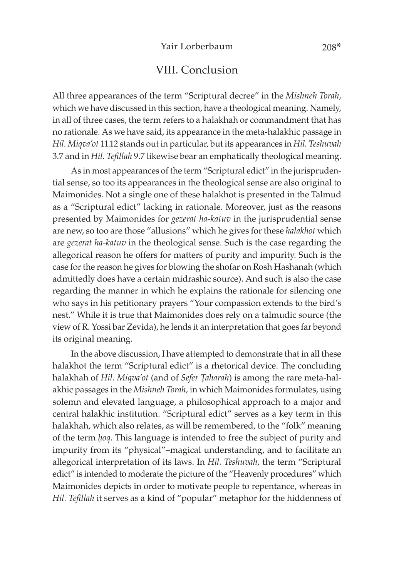## VIII. Conclusion

All three appearances of the term "Scriptural decree" in the *Mishneh Torah,* which we have discussed in this section, have a theological meaning. Namely, in all of three cases, the term refers to a halakhah or commandment that has no rationale. As we have said, its appearance in the meta-halakhic passage in *Hil. Miqva'ot* 11.12 stands out in particular, but its appearances in *Hil. Teshuvah* 3.7 and in *Hil. Tefillah* 9.7 likewise bear an emphatically theological meaning.

As in most appearances of the term "Scriptural edict" in the jurisprudential sense, so too its appearances in the theological sense are also original to Maimonides. Not a single one of these halakhot is presented in the Talmud as a "Scriptural edict" lacking in rationale. Moreover, just as the reasons presented by Maimonides for *gezerat ha-katuv* in the jurisprudential sense are new, so too are those "allusions" which he gives for these *halakhot* which are *gezerat ha-katuv* in the theological sense. Such is the case regarding the allegorical reason he offers for matters of purity and impurity. Such is the case for the reason he gives for blowing the shofar on Rosh Hashanah (which admittedly does have a certain midrashic source). And such is also the case regarding the manner in which he explains the rationale for silencing one who says in his petitionary prayers "Your compassion extends to the bird's nest." While it is true that Maimonides does rely on a talmudic source (the view of R. Yossi bar Zevida), he lends it an interpretation that goes far beyond its original meaning.

In the above discussion, I have attempted to demonstrate that in all these halakhot the term "Scriptural edict" is a rhetorical device. The concluding halakhah of *Hil. Miqva'ot* (and of *Sefer Taharah*) is among the rare meta-halakhic passages in the *Mishneh Torah,* in which Maimonides formulates, using solemn and elevated language, a philosophical approach to a major and central halakhic institution. "Scriptural edict" serves as a key term in this halakhah, which also relates, as will be remembered, to the "folk" meaning of the term *êoq*. This language is intended to free the subject of purity and impurity from its "physical"–magical understanding, and to facilitate an allegorical interpretation of its laws. In *Hil. Teshuvah,* the term "Scriptural edict" is intended to moderate the picture of the "Heavenly procedures" which Maimonides depicts in order to motivate people to repentance, whereas in *Hil. Tefillah* it serves as a kind of "popular" metaphor for the hiddenness of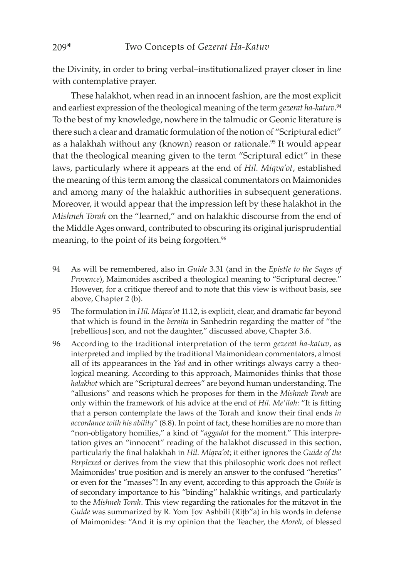the Divinity, in order to bring verbal–institutionalized prayer closer in line with contemplative prayer.

These halakhot, when read in an innocent fashion, are the most explicit and earliest expression of the theological meaning of the term *gezerat ha-katuv*. 94 To the best of my knowledge, nowhere in the talmudic or Geonic literature is there such a clear and dramatic formulation of the notion of "Scriptural edict" as a halakhah without any (known) reason or rationale.<sup>95</sup> It would appear that the theological meaning given to the term "Scriptural edict" in these laws, particularly where it appears at the end of *Hil. Miqva'ot*, established the meaning of this term among the classical commentators on Maimonides and among many of the halakhic authorities in subsequent generations. Moreover, it would appear that the impression left by these halakhot in the *Mishneh Torah* on the "learned," and on halakhic discourse from the end of the Middle Ages onward, contributed to obscuring its original jurisprudential meaning, to the point of its being forgotten.<sup>96</sup>

- 94 As will be remembered, also in *Guide* 3.31 (and in the *Epistle to the Sages of Provence*), Maimonides ascribed a theological meaning to "Scriptural decree." However, for a critique thereof and to note that this view is without basis, see above, Chapter 2 (b).
- 95 The formulation in *Hil. Miqva'ot* 11.12, is explicit, clear, and dramatic far beyond that which is found in the *beraita* in Sanhedrin regarding the matter of "the [rebellious] son, and not the daughter," discussed above, Chapter 3.6.
- 96 According to the traditional interpretation of the term *gezerat ha-katuv*, as interpreted and implied by the traditional Maimonidean commentators, almost all of its appearances in the *Yad* and in other writings always carry a theological meaning. According to this approach, Maimonides thinks that those *halakhot* which are "Scriptural decrees" are beyond human understanding. The "allusions" and reasons which he proposes for them in the *Mishneh Torah* are only within the framework of his advice at the end of *Hil. Me'ilah*: "It is fitting that a person contemplate the laws of the Torah and know their final ends *in accordance with his ability"* (8.8). In point of fact, these homilies are no more than "non-obligatory homilies," a kind of "*aggadot* for the moment." This interpretation gives an "innocent" reading of the halakhot discussed in this section, particularly the final halakhah in *Hil. Miqva'ot*; it either ignores the *Guide of the Perplexed* or derives from the view that this philosophic work does not reflect Maimonides' true position and is merely an answer to the confused "heretics" or even for the "masses"! In any event, according to this approach the *Guide* is of secondary importance to his "binding" halakhic writings, and particularly to the *Mishneh Torah*. This view regarding the rationales for the mitzvot in the *Guide* was summarized by R. Yom Tov Ashbili (Ritb"a) in his words in defense of Maimonides: "And it is my opinion that the Teacher, the *Moreh,* of blessed